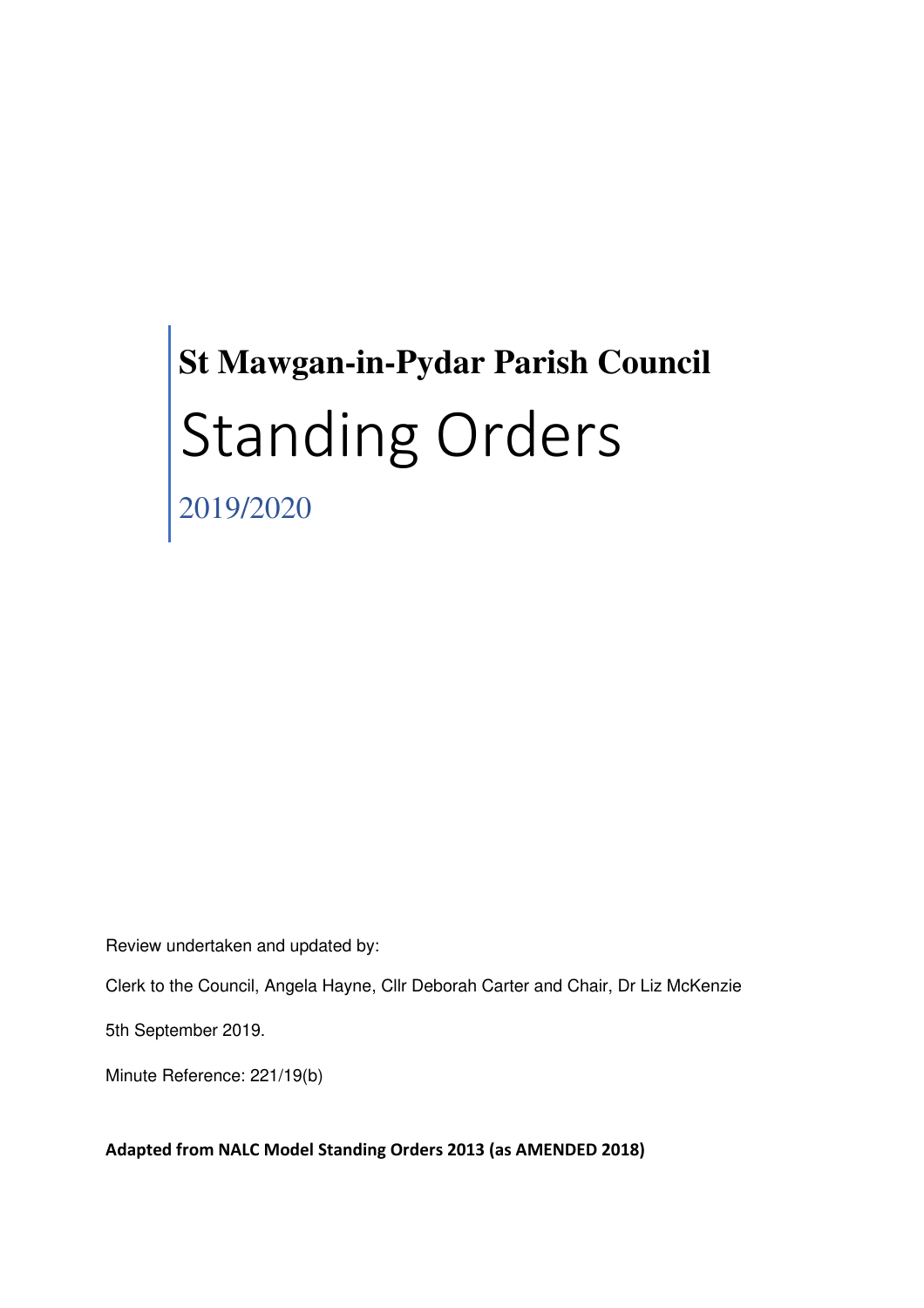# **St Mawgan-in-Pydar Parish Council** Standing Orders

2019/2020

Review undertaken and updated by:

Clerk to the Council, Angela Hayne, Cllr Deborah Carter and Chair, Dr Liz McKenzie

5th September 2019.

Minute Reference: 221/19(b)

**Adapted from NALC Model Standing Orders 2013 (as AMENDED 2018)**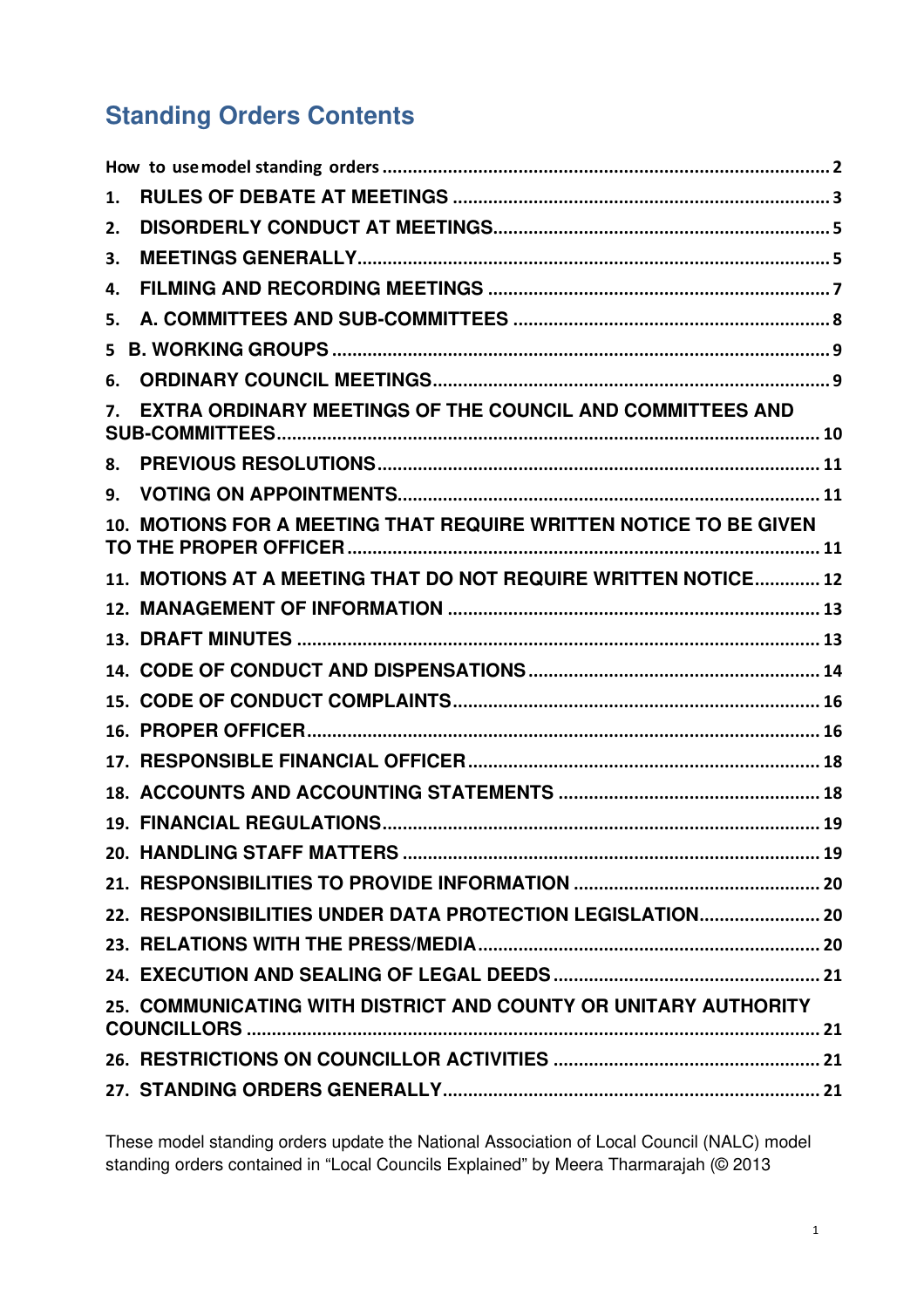# **Standing Orders Contents**

| 1.                                                              |                                                                   |
|-----------------------------------------------------------------|-------------------------------------------------------------------|
| 2.                                                              |                                                                   |
| 3.                                                              |                                                                   |
| 4.                                                              |                                                                   |
| 5.                                                              |                                                                   |
| 5                                                               |                                                                   |
| 6.                                                              |                                                                   |
| EXTRA ORDINARY MEETINGS OF THE COUNCIL AND COMMITTEES AND<br>7. |                                                                   |
| 8.                                                              |                                                                   |
| 9.                                                              |                                                                   |
|                                                                 | 10. MOTIONS FOR A MEETING THAT REQUIRE WRITTEN NOTICE TO BE GIVEN |
|                                                                 | 11. MOTIONS AT A MEETING THAT DO NOT REQUIRE WRITTEN NOTICE 12    |
|                                                                 |                                                                   |
|                                                                 |                                                                   |
|                                                                 |                                                                   |
|                                                                 |                                                                   |
|                                                                 |                                                                   |
|                                                                 |                                                                   |
|                                                                 |                                                                   |
|                                                                 |                                                                   |
|                                                                 |                                                                   |
|                                                                 |                                                                   |
|                                                                 | 22. RESPONSIBILITIES UNDER DATA PROTECTION LEGISLATION 20         |
|                                                                 |                                                                   |
|                                                                 |                                                                   |
| 25. COMMUNICATING WITH DISTRICT AND COUNTY OR UNITARY AUTHORITY |                                                                   |
|                                                                 |                                                                   |
|                                                                 |                                                                   |

These model standing orders update the National Association of Local Council (NALC) model standing orders contained in "Local Councils Explained" by Meera Tharmarajah (© 2013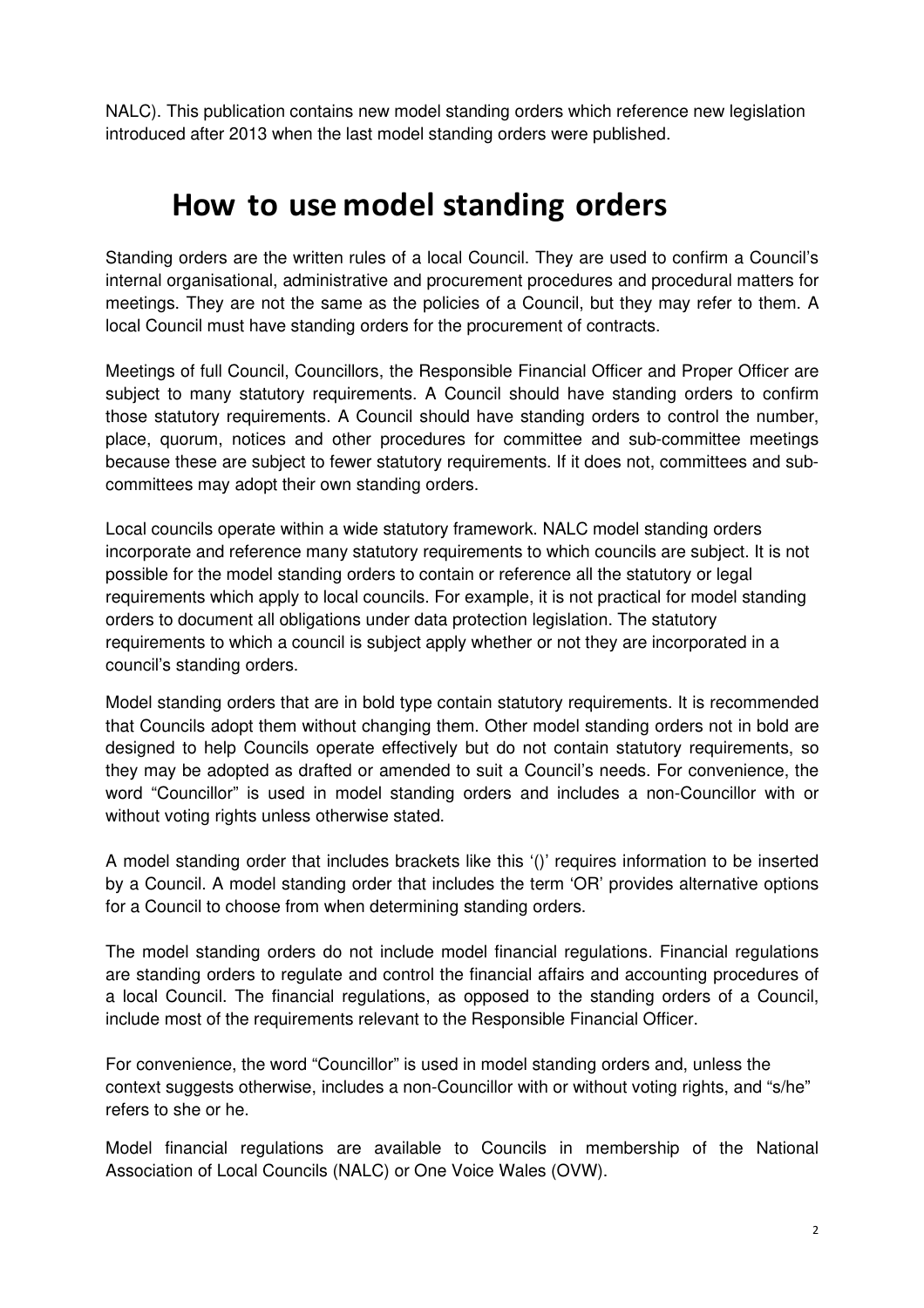NALC). This publication contains new model standing orders which reference new legislation introduced after 2013 when the last model standing orders were published.

# **How to use model standing orders**

Standing orders are the written rules of a local Council. They are used to confirm a Council's internal organisational, administrative and procurement procedures and procedural matters for meetings. They are not the same as the policies of a Council, but they may refer to them. A local Council must have standing orders for the procurement of contracts.

Meetings of full Council, Councillors, the Responsible Financial Officer and Proper Officer are subject to many statutory requirements. A Council should have standing orders to confirm those statutory requirements. A Council should have standing orders to control the number, place, quorum, notices and other procedures for committee and sub-committee meetings because these are subject to fewer statutory requirements. If it does not, committees and subcommittees may adopt their own standing orders.

Local councils operate within a wide statutory framework. NALC model standing orders incorporate and reference many statutory requirements to which councils are subject. It is not possible for the model standing orders to contain or reference all the statutory or legal requirements which apply to local councils. For example, it is not practical for model standing orders to document all obligations under data protection legislation. The statutory requirements to which a council is subject apply whether or not they are incorporated in a council's standing orders.

Model standing orders that are in bold type contain statutory requirements. It is recommended that Councils adopt them without changing them. Other model standing orders not in bold are designed to help Councils operate effectively but do not contain statutory requirements, so they may be adopted as drafted or amended to suit a Council's needs. For convenience, the word "Councillor" is used in model standing orders and includes a non-Councillor with or without voting rights unless otherwise stated.

A model standing order that includes brackets like this '()' requires information to be inserted by a Council. A model standing order that includes the term 'OR' provides alternative options for a Council to choose from when determining standing orders.

The model standing orders do not include model financial regulations. Financial regulations are standing orders to regulate and control the financial affairs and accounting procedures of a local Council. The financial regulations, as opposed to the standing orders of a Council, include most of the requirements relevant to the Responsible Financial Officer.

For convenience, the word "Councillor" is used in model standing orders and, unless the context suggests otherwise, includes a non-Councillor with or without voting rights, and "s/he" refers to she or he.

Model financial regulations are available to Councils in membership of the National Association of Local Councils (NALC) or One Voice Wales (OVW).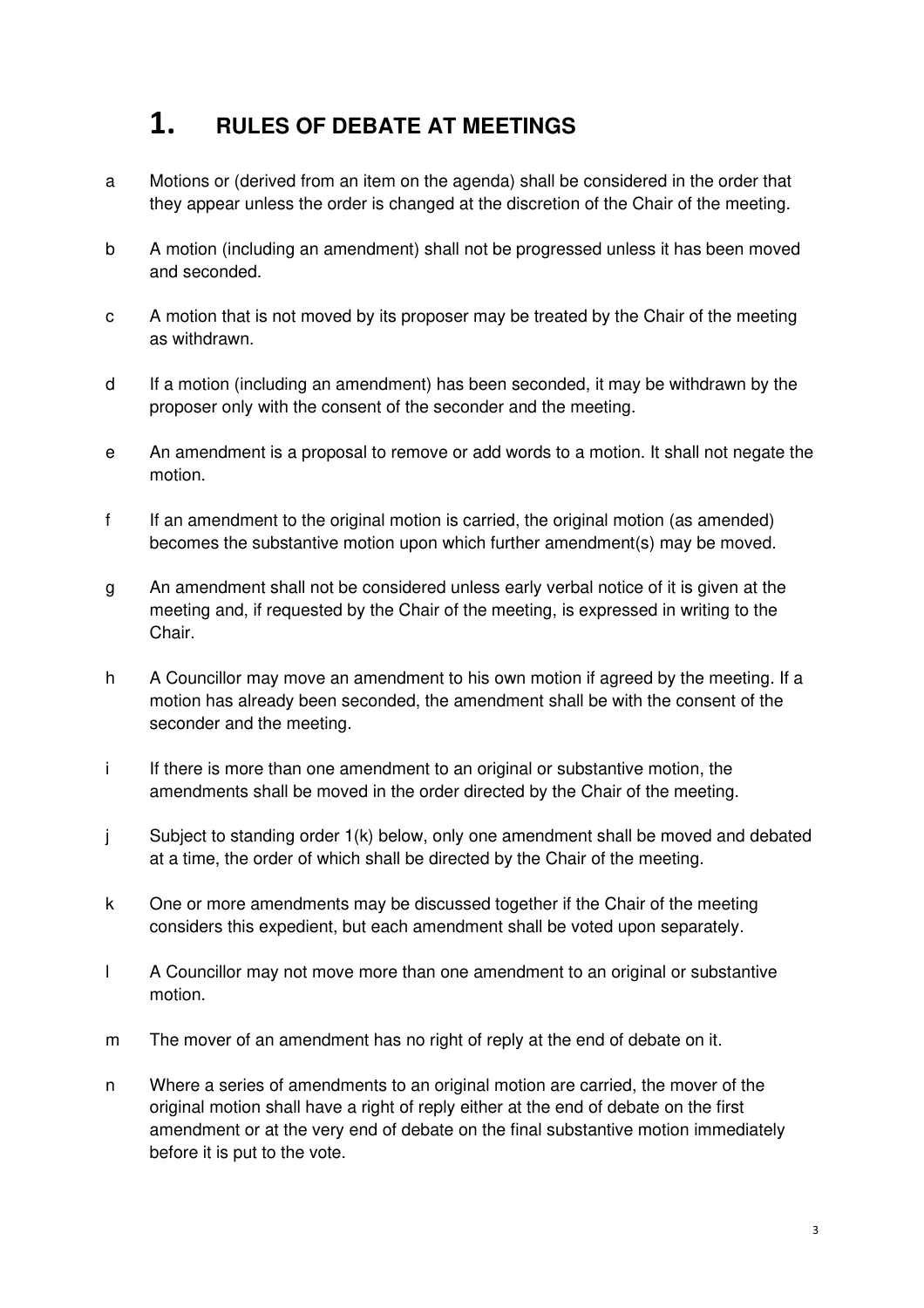# **1. RULES OF DEBATE AT MEETINGS**

- a Motions or (derived from an item on the agenda) shall be considered in the order that they appear unless the order is changed at the discretion of the Chair of the meeting.
- b A motion (including an amendment) shall not be progressed unless it has been moved and seconded.
- c A motion that is not moved by its proposer may be treated by the Chair of the meeting as withdrawn.
- d If a motion (including an amendment) has been seconded, it may be withdrawn by the proposer only with the consent of the seconder and the meeting.
- e An amendment is a proposal to remove or add words to a motion. It shall not negate the motion.
- f If an amendment to the original motion is carried, the original motion (as amended) becomes the substantive motion upon which further amendment(s) may be moved.
- g An amendment shall not be considered unless early verbal notice of it is given at the meeting and, if requested by the Chair of the meeting, is expressed in writing to the Chair.
- h A Councillor may move an amendment to his own motion if agreed by the meeting. If a motion has already been seconded, the amendment shall be with the consent of the seconder and the meeting.
- i If there is more than one amendment to an original or substantive motion, the amendments shall be moved in the order directed by the Chair of the meeting.
- j Subject to standing order 1(k) below, only one amendment shall be moved and debated at a time, the order of which shall be directed by the Chair of the meeting.
- k One or more amendments may be discussed together if the Chair of the meeting considers this expedient, but each amendment shall be voted upon separately.
- l A Councillor may not move more than one amendment to an original or substantive motion.
- m The mover of an amendment has no right of reply at the end of debate on it.
- n Where a series of amendments to an original motion are carried, the mover of the original motion shall have a right of reply either at the end of debate on the first amendment or at the very end of debate on the final substantive motion immediately before it is put to the vote.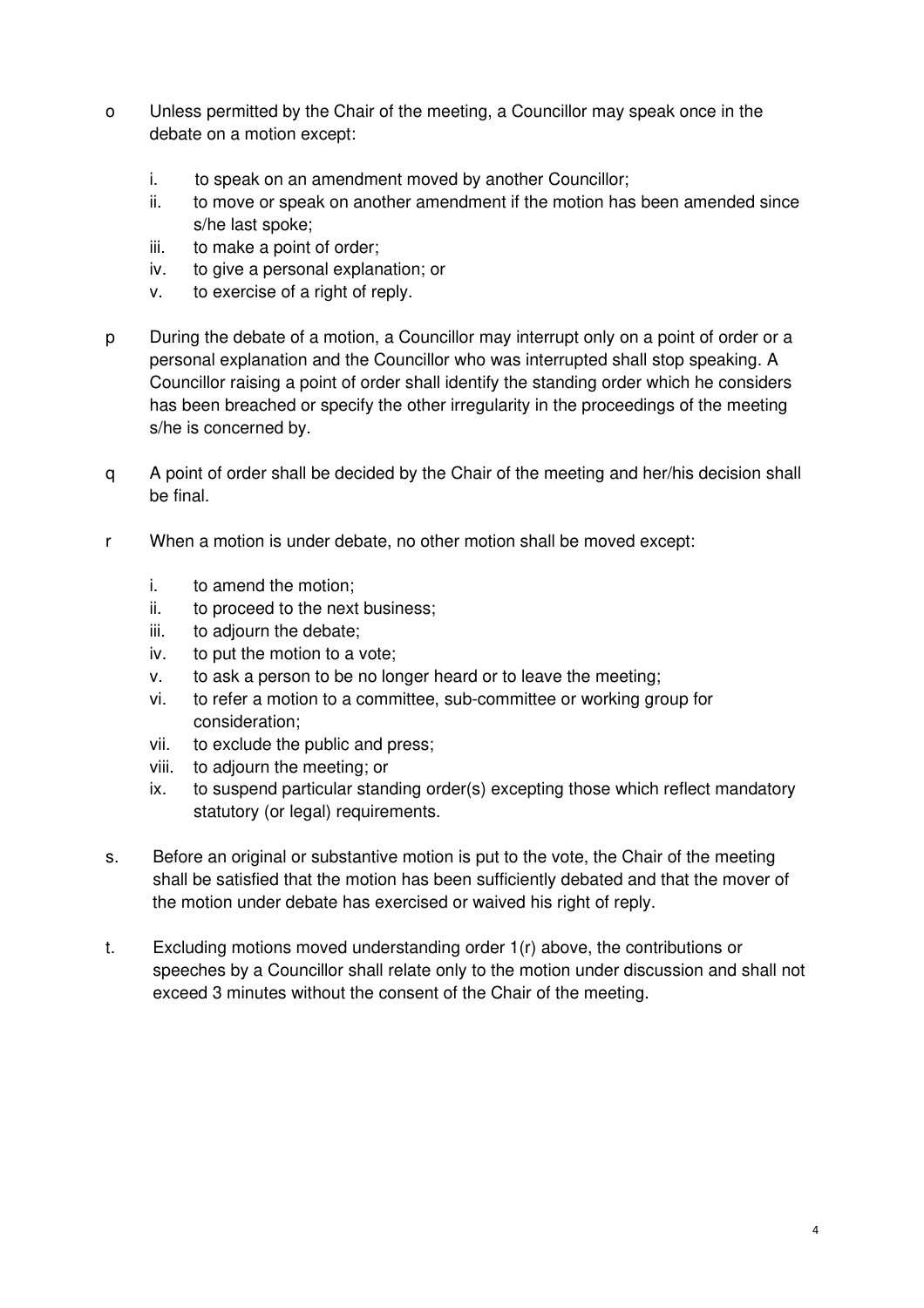- o Unless permitted by the Chair of the meeting, a Councillor may speak once in the debate on a motion except:
	- i. to speak on an amendment moved by another Councillor;
	- ii. to move or speak on another amendment if the motion has been amended since s/he last spoke;
	- iii. to make a point of order;
	- iv. to give a personal explanation; or
	- v. to exercise of a right of reply.
- p During the debate of a motion, a Councillor may interrupt only on a point of order or a personal explanation and the Councillor who was interrupted shall stop speaking. A Councillor raising a point of order shall identify the standing order which he considers has been breached or specify the other irregularity in the proceedings of the meeting s/he is concerned by.
- q A point of order shall be decided by the Chair of the meeting and her/his decision shall be final.
- r When a motion is under debate, no other motion shall be moved except:
	- i. to amend the motion;
	- ii. to proceed to the next business;
	- iii. to adjourn the debate;
	- iv. to put the motion to a vote;
	- v. to ask a person to be no longer heard or to leave the meeting;
	- vi. to refer a motion to a committee, sub-committee or working group for consideration;
	- vii. to exclude the public and press;
	- viii. to adjourn the meeting; or
	- ix. to suspend particular standing order(s) excepting those which reflect mandatory statutory (or legal) requirements.
- s. Before an original or substantive motion is put to the vote, the Chair of the meeting shall be satisfied that the motion has been sufficiently debated and that the mover of the motion under debate has exercised or waived his right of reply.
- t. Excluding motions moved understanding order 1(r) above, the contributions or speeches by a Councillor shall relate only to the motion under discussion and shall not exceed 3 minutes without the consent of the Chair of the meeting.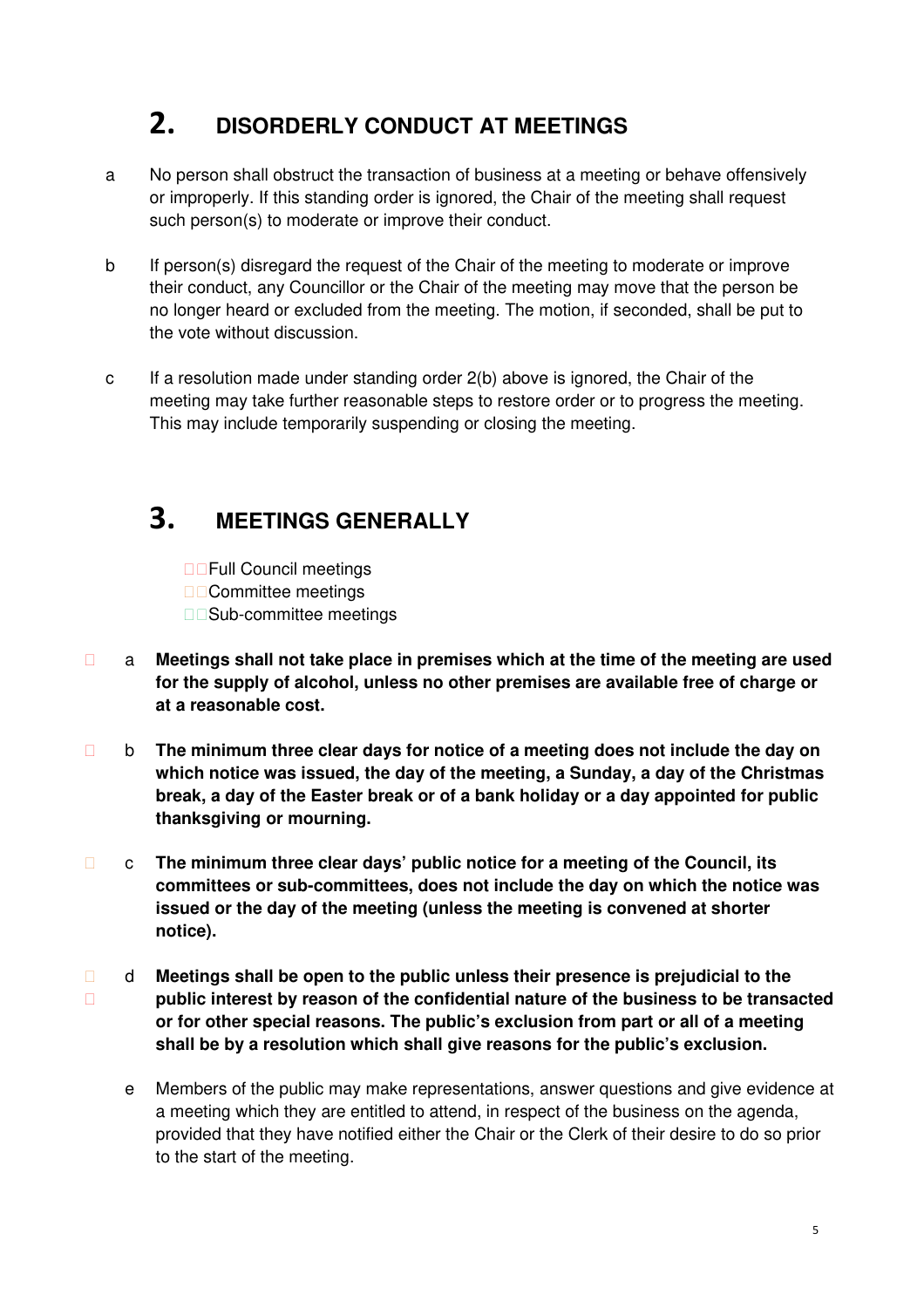# **2. DISORDERLY CONDUCT AT MEETINGS**

- a No person shall obstruct the transaction of business at a meeting or behave offensively or improperly. If this standing order is ignored, the Chair of the meeting shall request such person(s) to moderate or improve their conduct.
- b If person(s) disregard the request of the Chair of the meeting to moderate or improve their conduct, any Councillor or the Chair of the meeting may move that the person be no longer heard or excluded from the meeting. The motion, if seconded, shall be put to the vote without discussion.
- c If a resolution made under standing order 2(b) above is ignored, the Chair of the meeting may take further reasonable steps to restore order or to progress the meeting. This may include temporarily suspending or closing the meeting.

### **3. MEETINGS GENERALLY**

Full Council meetings Committee meetings Sub-committee meetings

- a **Meetings shall not take place in premises which at the time of the meeting are used for the supply of alcohol, unless no other premises are available free of charge or at a reasonable cost.**
- b **The minimum three clear days for notice of a meeting does not include the day on which notice was issued, the day of the meeting, a Sunday, a day of the Christmas break, a day of the Easter break or of a bank holiday or a day appointed for public thanksgiving or mourning.**
- c **The minimum three clear days' public notice for a meeting of the Council, its committees or sub-committees, does not include the day on which the notice was issued or the day of the meeting (unless the meeting is convened at shorter notice).**
- d **Meetings shall be open to the public unless their presence is prejudicial to the public interest by reason of the confidential nature of the business to be transacted or for other special reasons. The public's exclusion from part or all of a meeting shall be by a resolution which shall give reasons for the public's exclusion.**
- e Members of the public may make representations, answer questions and give evidence at a meeting which they are entitled to attend, in respect of the business on the agenda, provided that they have notified either the Chair or the Clerk of their desire to do so prior to the start of the meeting.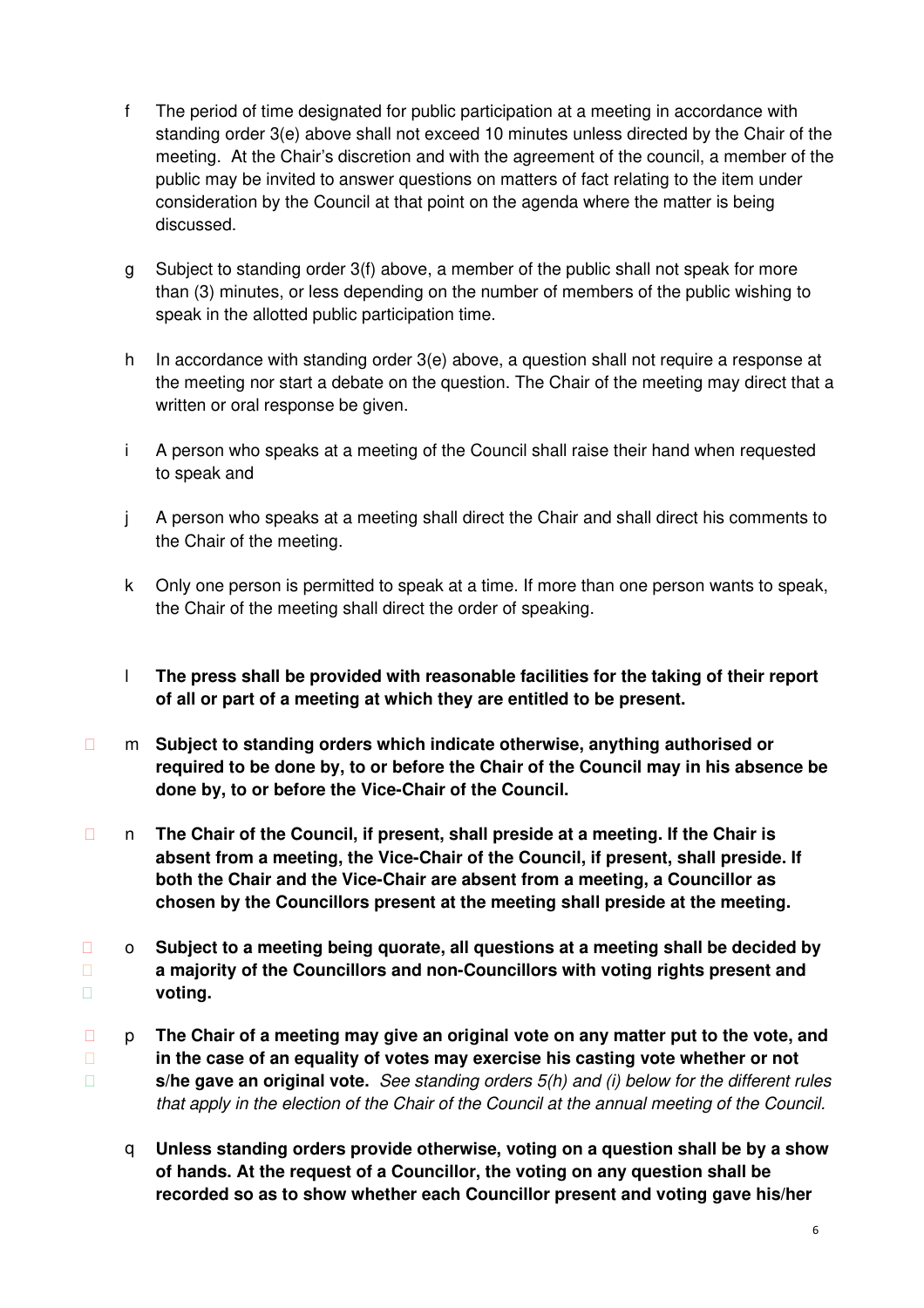- f The period of time designated for public participation at a meeting in accordance with standing order 3(e) above shall not exceed 10 minutes unless directed by the Chair of the meeting. At the Chair's discretion and with the agreement of the council, a member of the public may be invited to answer questions on matters of fact relating to the item under consideration by the Council at that point on the agenda where the matter is being discussed.
- g Subject to standing order 3(f) above, a member of the public shall not speak for more than (3) minutes, or less depending on the number of members of the public wishing to speak in the allotted public participation time.
- h In accordance with standing order 3(e) above, a question shall not require a response at the meeting nor start a debate on the question. The Chair of the meeting may direct that a written or oral response be given.
- i A person who speaks at a meeting of the Council shall raise their hand when requested to speak and
- j A person who speaks at a meeting shall direct the Chair and shall direct his comments to the Chair of the meeting.
- k Only one person is permitted to speak at a time. If more than one person wants to speak, the Chair of the meeting shall direct the order of speaking.
- l **The press shall be provided with reasonable facilities for the taking of their report of all or part of a meeting at which they are entitled to be present.**
- m **Subject to standing orders which indicate otherwise, anything authorised or required to be done by, to or before the Chair of the Council may in his absence be done by, to or before the Vice-Chair of the Council.**
- n **The Chair of the Council, if present, shall preside at a meeting. If the Chair is absent from a meeting, the Vice-Chair of the Council, if present, shall preside. If both the Chair and the Vice-Chair are absent from a meeting, a Councillor as chosen by the Councillors present at the meeting shall preside at the meeting.**
- o **Subject to a meeting being quorate, all questions at a meeting shall be decided by a majority of the Councillors and non-Councillors with voting rights present and voting.**
- p **The Chair of a meeting may give an original vote on any matter put to the vote, and in the case of an equality of votes may exercise his casting vote whether or not s/he gave an original vote.** See standing orders 5(h) and (i) below for the different rules that apply in the election of the Chair of the Council at the annual meeting of the Council.
- q **Unless standing orders provide otherwise, voting on a question shall be by a show of hands. At the request of a Councillor, the voting on any question shall be recorded so as to show whether each Councillor present and voting gave his/her**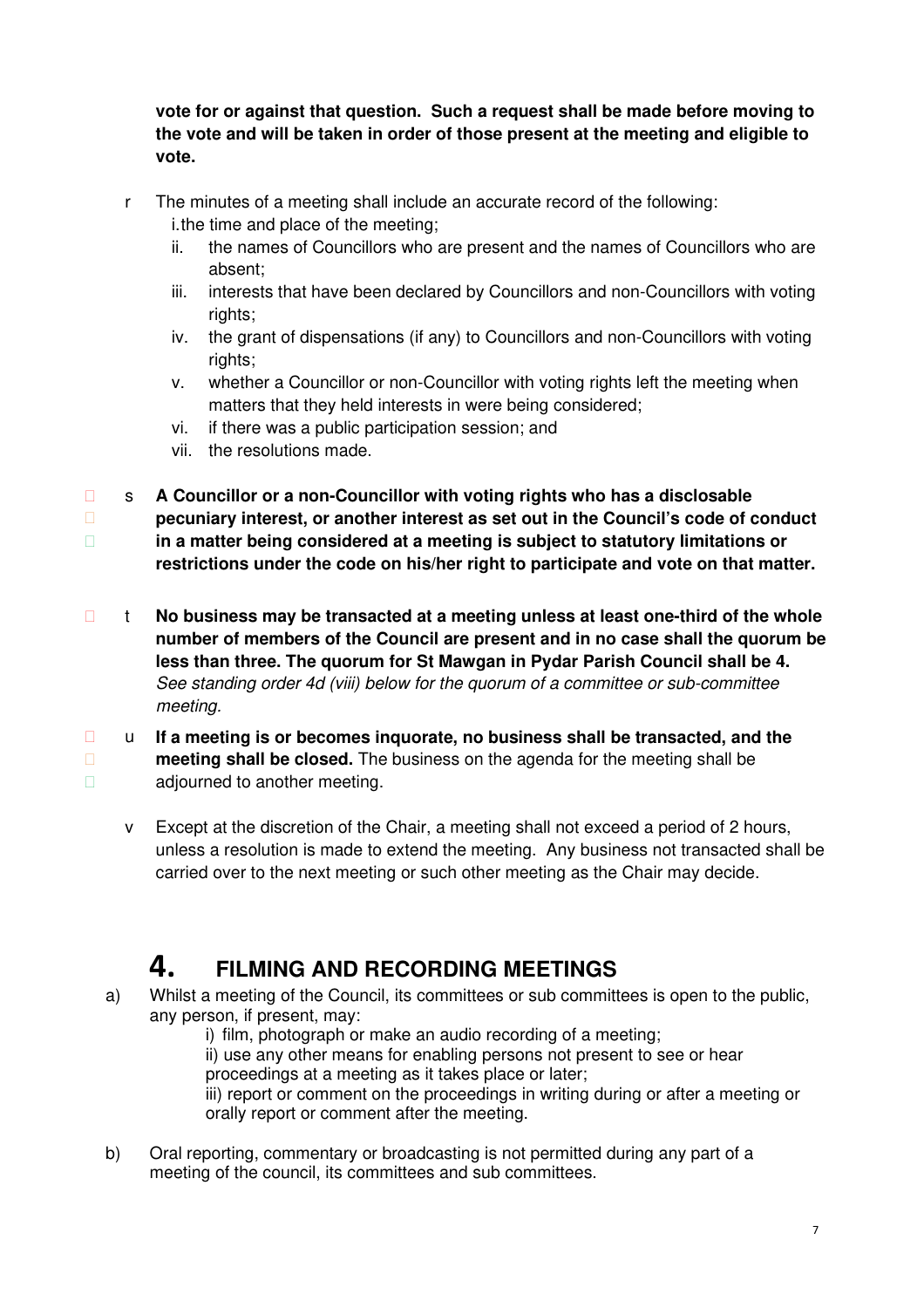**vote for or against that question. Such a request shall be made before moving to the vote and will be taken in order of those present at the meeting and eligible to vote.**

- r The minutes of a meeting shall include an accurate record of the following: i. the time and place of the meeting;
	- ii. the names of Councillors who are present and the names of Councillors who are absent;
	- iii. interests that have been declared by Councillors and non-Councillors with voting rights:
	- iv. the grant of dispensations (if any) to Councillors and non-Councillors with voting rights;
	- v. whether a Councillor or non-Councillor with voting rights left the meeting when matters that they held interests in were being considered;
	- vi. if there was a public participation session; and
	- vii. the resolutions made.
- s **A Councillor or a non-Councillor with voting rights who has a disclosable pecuniary interest, or another interest as set out in the Council's code of conduct in a matter being considered at a meeting is subject to statutory limitations or restrictions under the code on his/her right to participate and vote on that matter.**
- t **No business may be transacted at a meeting unless at least one-third of the whole number of members of the Council are present and in no case shall the quorum be less than three. The quorum for St Mawgan in Pydar Parish Council shall be 4.**  See standing order 4d (viii) below for the quorum of a committee or sub-committee meeting.
- u **If a meeting is or becomes inquorate, no business shall be transacted, and the meeting shall be closed.** The business on the agenda for the meeting shall be adjourned to another meeting.
- v Except at the discretion of the Chair, a meeting shall not exceed a period of 2 hours, unless a resolution is made to extend the meeting. Any business not transacted shall be carried over to the next meeting or such other meeting as the Chair may decide.

### **4. FILMING AND RECORDING MEETINGS**

a) Whilst a meeting of the Council, its committees or sub committees is open to the public, any person, if present, may:

i) film, photograph or make an audio recording of a meeting;

ii) use any other means for enabling persons not present to see or hear proceedings at a meeting as it takes place or later;

iii) report or comment on the proceedings in writing during or after a meeting or orally report or comment after the meeting.

b) Oral reporting, commentary or broadcasting is not permitted during any part of a meeting of the council, its committees and sub committees.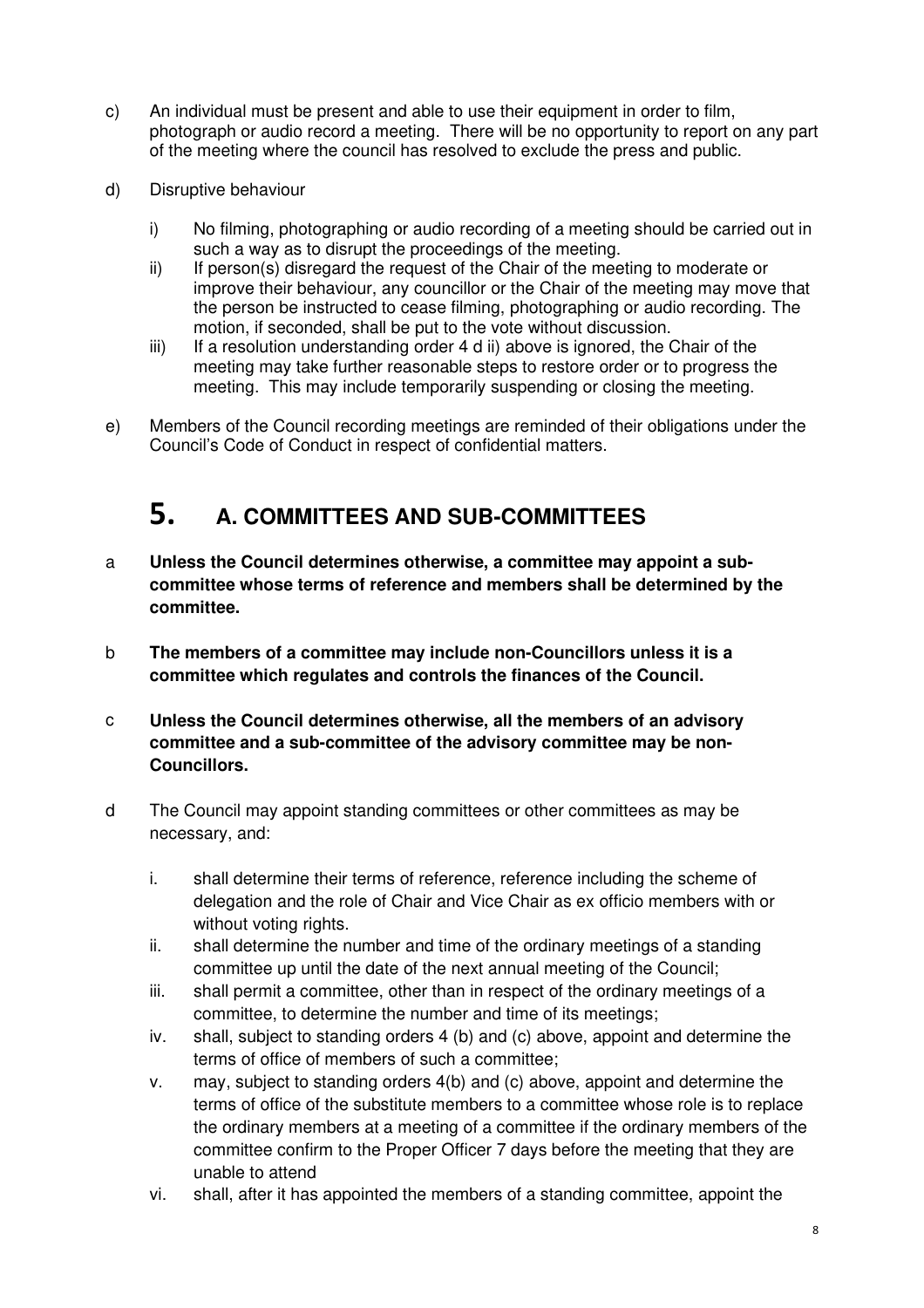- c) An individual must be present and able to use their equipment in order to film, photograph or audio record a meeting. There will be no opportunity to report on any part of the meeting where the council has resolved to exclude the press and public.
- d) Disruptive behaviour
	- i) No filming, photographing or audio recording of a meeting should be carried out in such a way as to disrupt the proceedings of the meeting.
	- ii) If person(s) disregard the request of the Chair of the meeting to moderate or improve their behaviour, any councillor or the Chair of the meeting may move that the person be instructed to cease filming, photographing or audio recording. The motion, if seconded, shall be put to the vote without discussion.
	- iii) If a resolution understanding order 4 d ii) above is ignored, the Chair of the meeting may take further reasonable steps to restore order or to progress the meeting. This may include temporarily suspending or closing the meeting.
- e) Members of the Council recording meetings are reminded of their obligations under the Council's Code of Conduct in respect of confidential matters.

### **5. A. COMMITTEES AND SUB-COMMITTEES**

- a **Unless the Council determines otherwise, a committee may appoint a subcommittee whose terms of reference and members shall be determined by the committee.**
- b **The members of a committee may include non-Councillors unless it is a committee which regulates and controls the finances of the Council.**
- c **Unless the Council determines otherwise, all the members of an advisory committee and a sub-committee of the advisory committee may be non-Councillors.**
- d The Council may appoint standing committees or other committees as may be necessary, and:
	- i. shall determine their terms of reference, reference including the scheme of delegation and the role of Chair and Vice Chair as ex officio members with or without voting rights.
	- ii. shall determine the number and time of the ordinary meetings of a standing committee up until the date of the next annual meeting of the Council;
	- iii. shall permit a committee, other than in respect of the ordinary meetings of a committee, to determine the number and time of its meetings;
	- iv. shall, subject to standing orders 4 (b) and (c) above, appoint and determine the terms of office of members of such a committee;
	- v. may, subject to standing orders 4(b) and (c) above, appoint and determine the terms of office of the substitute members to a committee whose role is to replace the ordinary members at a meeting of a committee if the ordinary members of the committee confirm to the Proper Officer 7 days before the meeting that they are unable to attend
	- vi. shall, after it has appointed the members of a standing committee, appoint the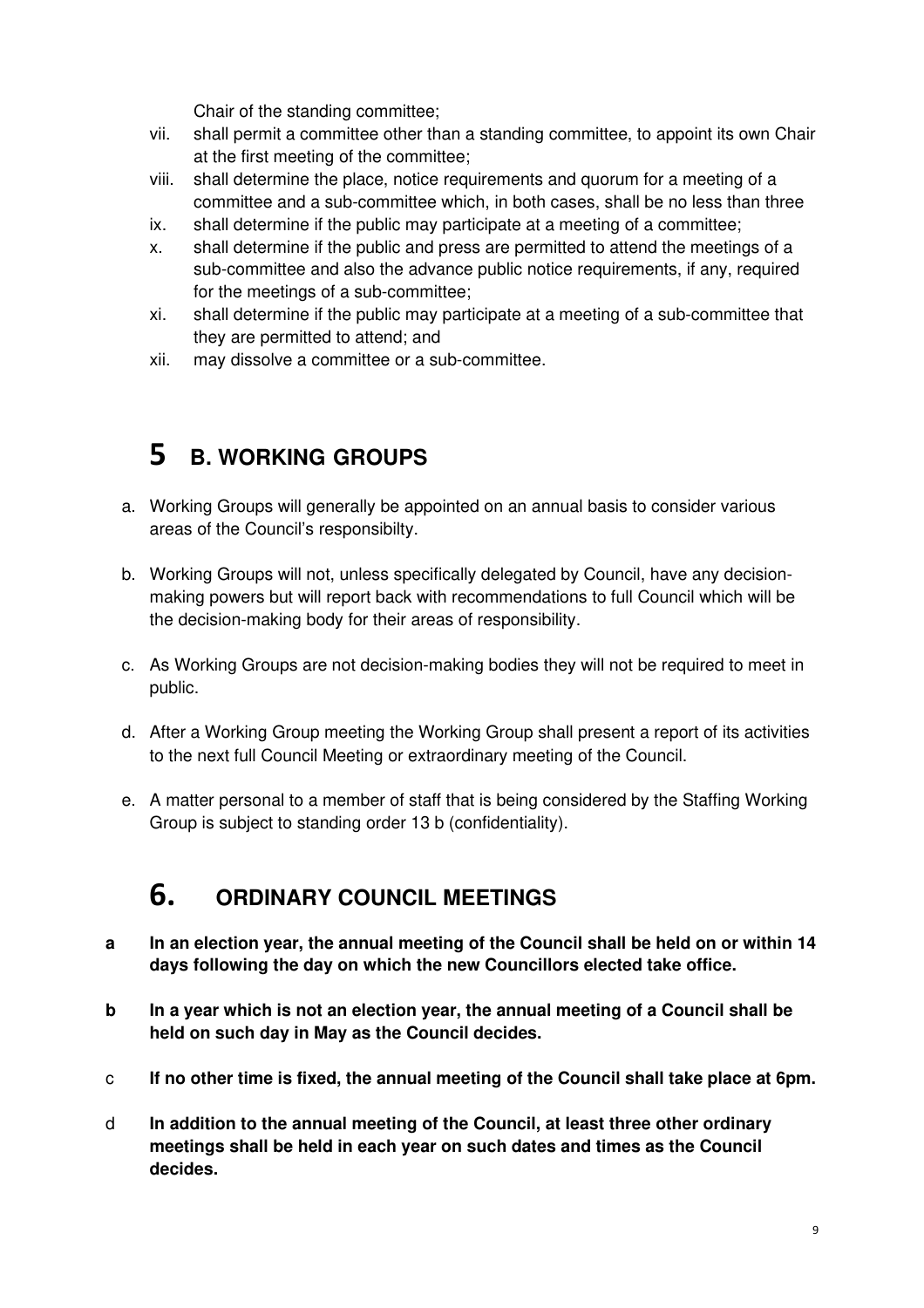Chair of the standing committee;

- vii. shall permit a committee other than a standing committee, to appoint its own Chair at the first meeting of the committee;
- viii. shall determine the place, notice requirements and quorum for a meeting of a committee and a sub-committee which, in both cases, shall be no less than three
- ix. shall determine if the public may participate at a meeting of a committee;
- x. shall determine if the public and press are permitted to attend the meetings of a sub-committee and also the advance public notice requirements, if any, required for the meetings of a sub-committee;
- xi. shall determine if the public may participate at a meeting of a sub-committee that they are permitted to attend; and
- xii. may dissolve a committee or a sub-committee.

### **5 B. WORKING GROUPS**

- a. Working Groups will generally be appointed on an annual basis to consider various areas of the Council's responsibilty.
- b. Working Groups will not, unless specifically delegated by Council, have any decisionmaking powers but will report back with recommendations to full Council which will be the decision-making body for their areas of responsibility.
- c. As Working Groups are not decision-making bodies they will not be required to meet in public.
- d. After a Working Group meeting the Working Group shall present a report of its activities to the next full Council Meeting or extraordinary meeting of the Council.
- e. A matter personal to a member of staff that is being considered by the Staffing Working Group is subject to standing order 13 b (confidentiality).

### **6. ORDINARY COUNCIL MEETINGS**

- **a In an election year, the annual meeting of the Council shall be held on or within 14 days following the day on which the new Councillors elected take office.**
- **b In a year which is not an election year, the annual meeting of a Council shall be held on such day in May as the Council decides.**
- c **If no other time is fixed, the annual meeting of the Council shall take place at 6pm.**
- d **In addition to the annual meeting of the Council, at least three other ordinary meetings shall be held in each year on such dates and times as the Council decides.**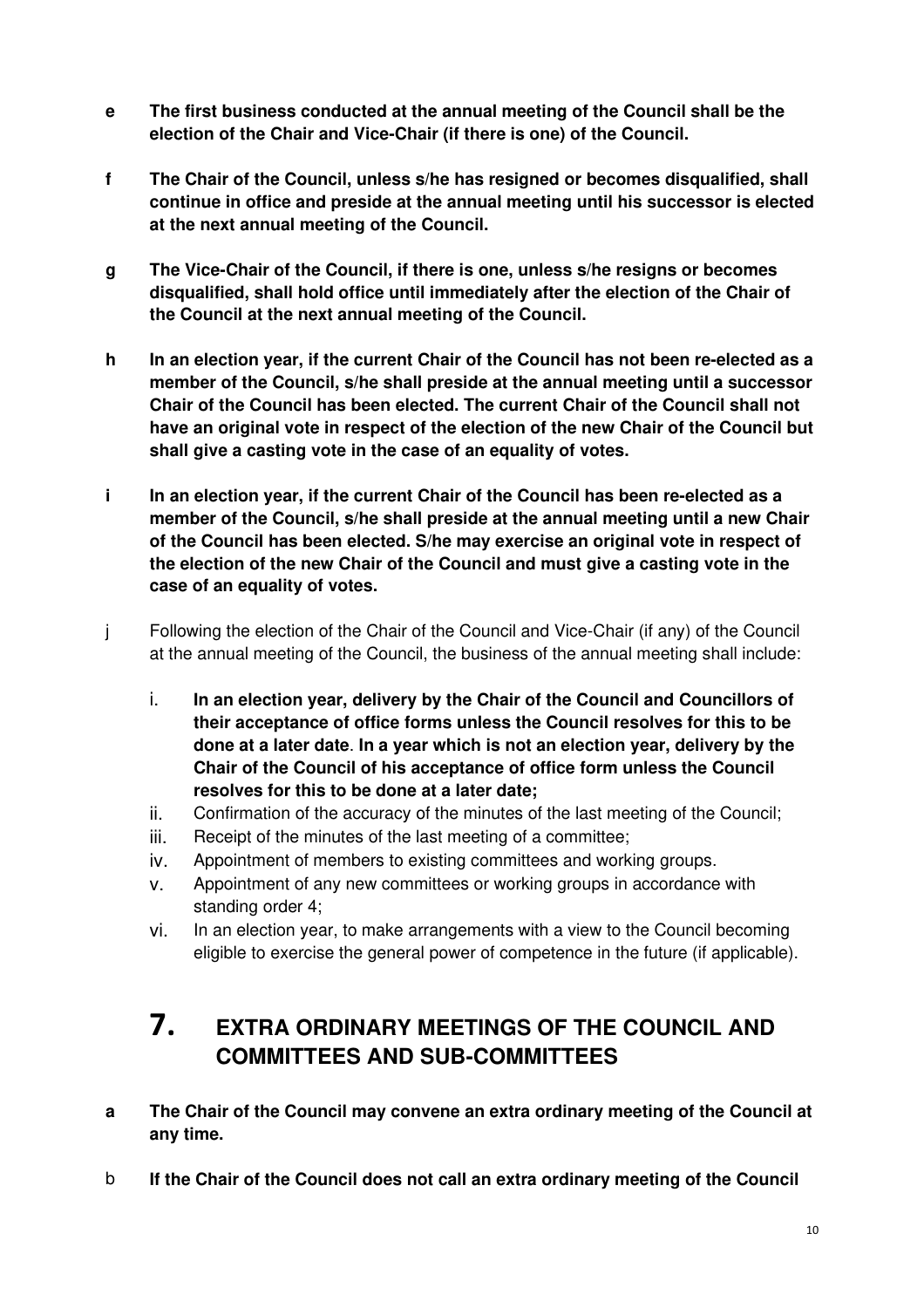- **e The first business conducted at the annual meeting of the Council shall be the election of the Chair and Vice-Chair (if there is one) of the Council.**
- **f The Chair of the Council, unless s/he has resigned or becomes disqualified, shall continue in office and preside at the annual meeting until his successor is elected at the next annual meeting of the Council.**
- **g The Vice-Chair of the Council, if there is one, unless s/he resigns or becomes disqualified, shall hold office until immediately after the election of the Chair of the Council at the next annual meeting of the Council.**
- **h In an election year, if the current Chair of the Council has not been re-elected as a member of the Council, s/he shall preside at the annual meeting until a successor Chair of the Council has been elected. The current Chair of the Council shall not have an original vote in respect of the election of the new Chair of the Council but shall give a casting vote in the case of an equality of votes.**
- **i In an election year, if the current Chair of the Council has been re-elected as a member of the Council, s/he shall preside at the annual meeting until a new Chair of the Council has been elected. S/he may exercise an original vote in respect of the election of the new Chair of the Council and must give a casting vote in the case of an equality of votes.**
- j Following the election of the Chair of the Council and Vice-Chair (if any) of the Council at the annual meeting of the Council, the business of the annual meeting shall include:
	- i. **In an election year, delivery by the Chair of the Council and Councillors of their acceptance of office forms unless the Council resolves for this to be done at a later date**. **In a year which is not an election year, delivery by the Chair of the Council of his acceptance of office form unless the Council resolves for this to be done at a later date;**
	- ii. Confirmation of the accuracy of the minutes of the last meeting of the Council;
	- iii. Receipt of the minutes of the last meeting of a committee;
	- iv. Appointment of members to existing committees and working groups.
	- v. Appointment of any new committees or working groups in accordance with standing order 4;
	- vi. In an election year, to make arrangements with a view to the Council becoming eligible to exercise the general power of competence in the future (if applicable).

### **7. EXTRA ORDINARY MEETINGS OF THE COUNCIL AND COMMITTEES AND SUB-COMMITTEES**

- **a The Chair of the Council may convene an extra ordinary meeting of the Council at any time.**
- b **If the Chair of the Council does not call an extra ordinary meeting of the Council**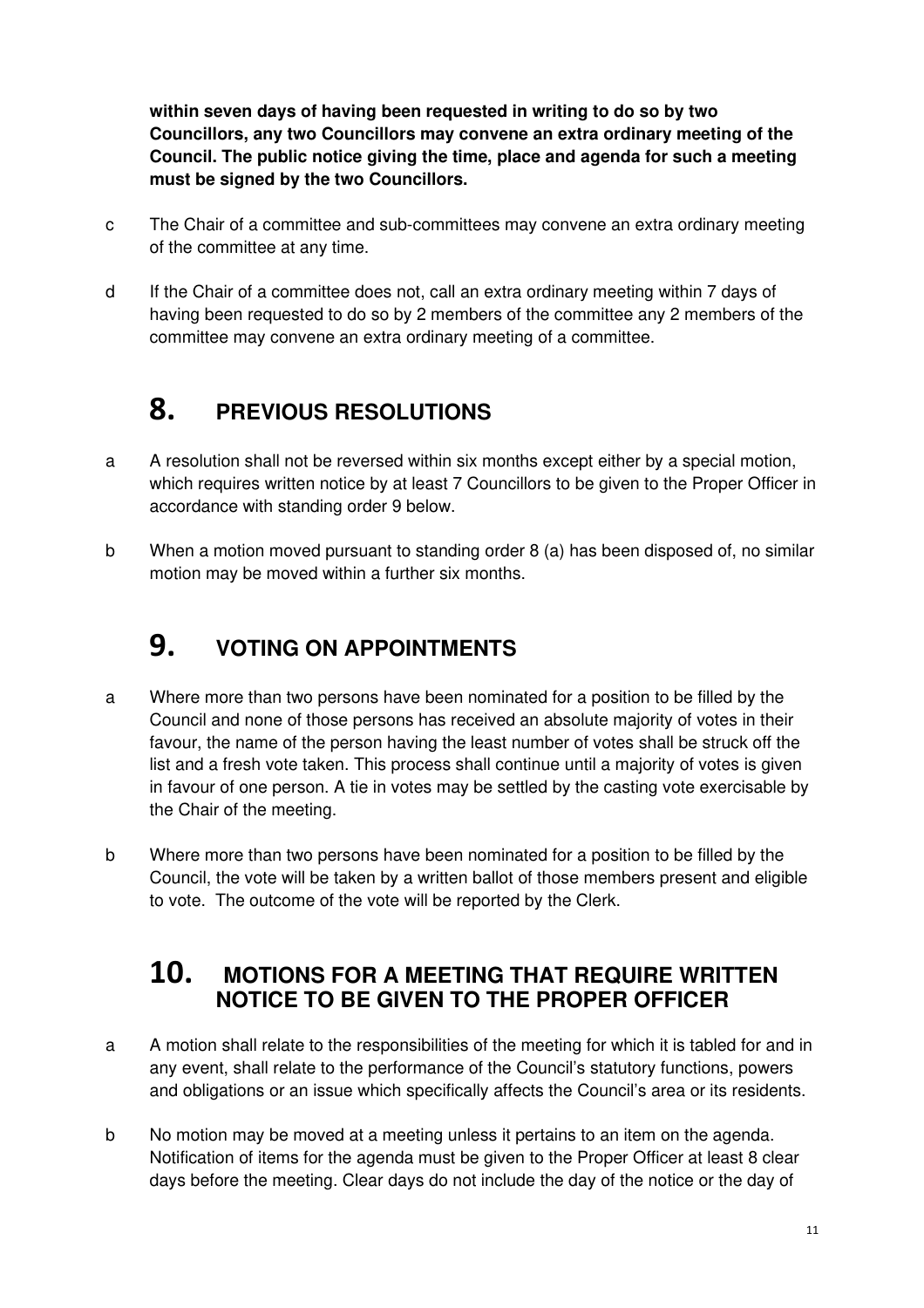**within seven days of having been requested in writing to do so by two Councillors, any two Councillors may convene an extra ordinary meeting of the Council. The public notice giving the time, place and agenda for such a meeting must be signed by the two Councillors.**

- c The Chair of a committee and sub-committees may convene an extra ordinary meeting of the committee at any time.
- d If the Chair of a committee does not, call an extra ordinary meeting within 7 days of having been requested to do so by 2 members of the committee any 2 members of the committee may convene an extra ordinary meeting of a committee.

# **8. PREVIOUS RESOLUTIONS**

- a A resolution shall not be reversed within six months except either by a special motion, which requires written notice by at least 7 Councillors to be given to the Proper Officer in accordance with standing order 9 below.
- b When a motion moved pursuant to standing order 8 (a) has been disposed of, no similar motion may be moved within a further six months.

# **9. VOTING ON APPOINTMENTS**

- a Where more than two persons have been nominated for a position to be filled by the Council and none of those persons has received an absolute majority of votes in their favour, the name of the person having the least number of votes shall be struck off the list and a fresh vote taken. This process shall continue until a majority of votes is given in favour of one person. A tie in votes may be settled by the casting vote exercisable by the Chair of the meeting.
- b Where more than two persons have been nominated for a position to be filled by the Council, the vote will be taken by a written ballot of those members present and eligible to vote. The outcome of the vote will be reported by the Clerk.

### **10. MOTIONS FOR A MEETING THAT REQUIRE WRITTEN NOTICE TO BE GIVEN TO THE PROPER OFFICER**

- a A motion shall relate to the responsibilities of the meeting for which it is tabled for and in any event, shall relate to the performance of the Council's statutory functions, powers and obligations or an issue which specifically affects the Council's area or its residents.
- b No motion may be moved at a meeting unless it pertains to an item on the agenda. Notification of items for the agenda must be given to the Proper Officer at least 8 clear days before the meeting. Clear days do not include the day of the notice or the day of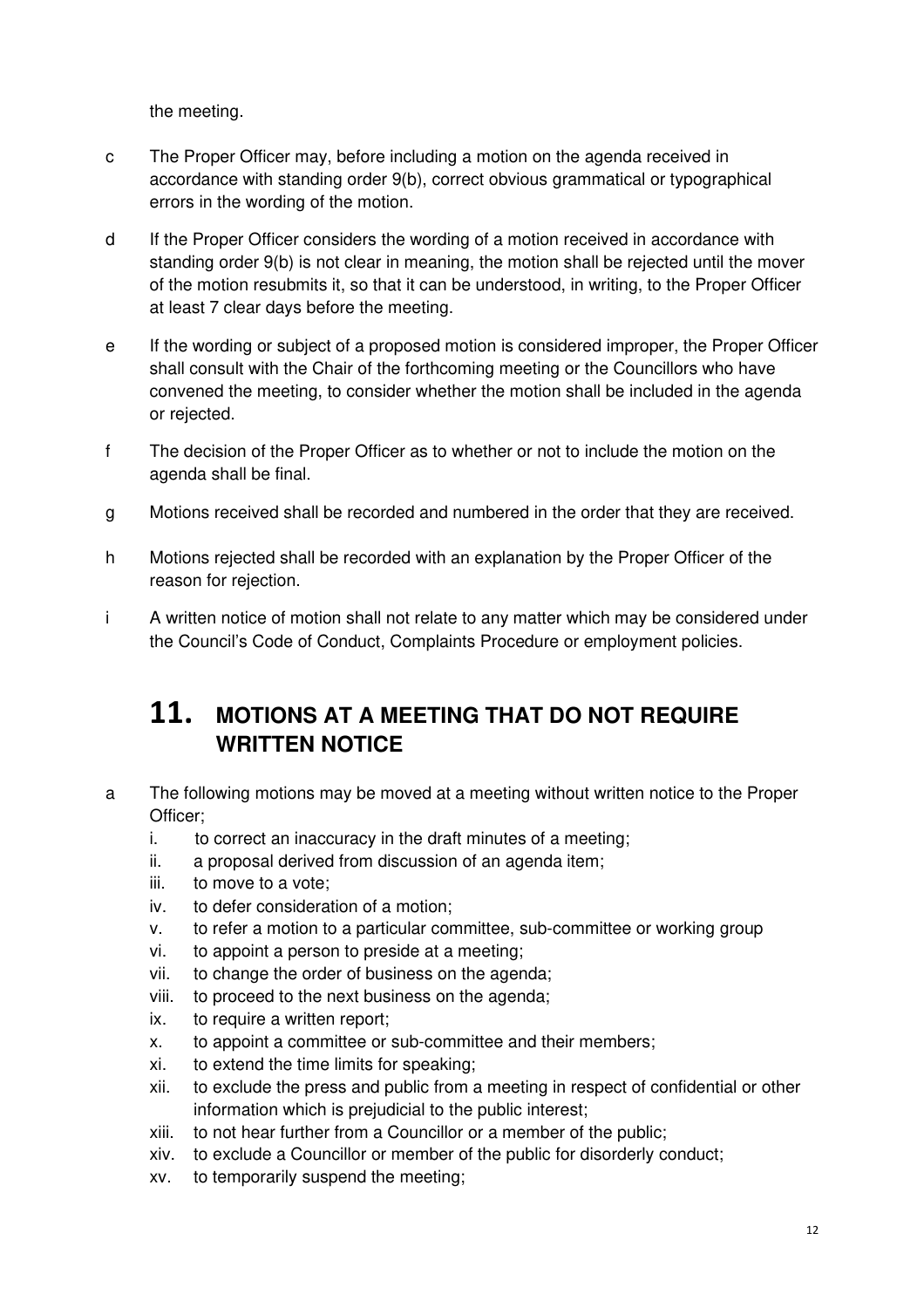the meeting.

- c The Proper Officer may, before including a motion on the agenda received in accordance with standing order 9(b), correct obvious grammatical or typographical errors in the wording of the motion.
- d If the Proper Officer considers the wording of a motion received in accordance with standing order 9(b) is not clear in meaning, the motion shall be rejected until the mover of the motion resubmits it, so that it can be understood, in writing, to the Proper Officer at least 7 clear days before the meeting.
- e If the wording or subject of a proposed motion is considered improper, the Proper Officer shall consult with the Chair of the forthcoming meeting or the Councillors who have convened the meeting, to consider whether the motion shall be included in the agenda or rejected.
- f The decision of the Proper Officer as to whether or not to include the motion on the agenda shall be final.
- g Motions received shall be recorded and numbered in the order that they are received.
- h Motions rejected shall be recorded with an explanation by the Proper Officer of the reason for rejection.
- i A written notice of motion shall not relate to any matter which may be considered under the Council's Code of Conduct, Complaints Procedure or employment policies.

### **11. MOTIONS AT A MEETING THAT DO NOT REQUIRE WRITTEN NOTICE**

- a The following motions may be moved at a meeting without written notice to the Proper Officer;
	- i. to correct an inaccuracy in the draft minutes of a meeting;
	- ii. a proposal derived from discussion of an agenda item;
	- iii. to move to a vote;
	- iv. to defer consideration of a motion;
	- v. to refer a motion to a particular committee, sub-committee or working group
	- vi. to appoint a person to preside at a meeting;
	- vii. to change the order of business on the agenda;
	- viii. to proceed to the next business on the agenda;
	- ix. to require a written report;
	- x. to appoint a committee or sub-committee and their members;
	- xi. to extend the time limits for speaking;
	- xii. to exclude the press and public from a meeting in respect of confidential or other information which is prejudicial to the public interest;
	- xiii. to not hear further from a Councillor or a member of the public;
	- xiv. to exclude a Councillor or member of the public for disorderly conduct;
	- xv. to temporarily suspend the meeting;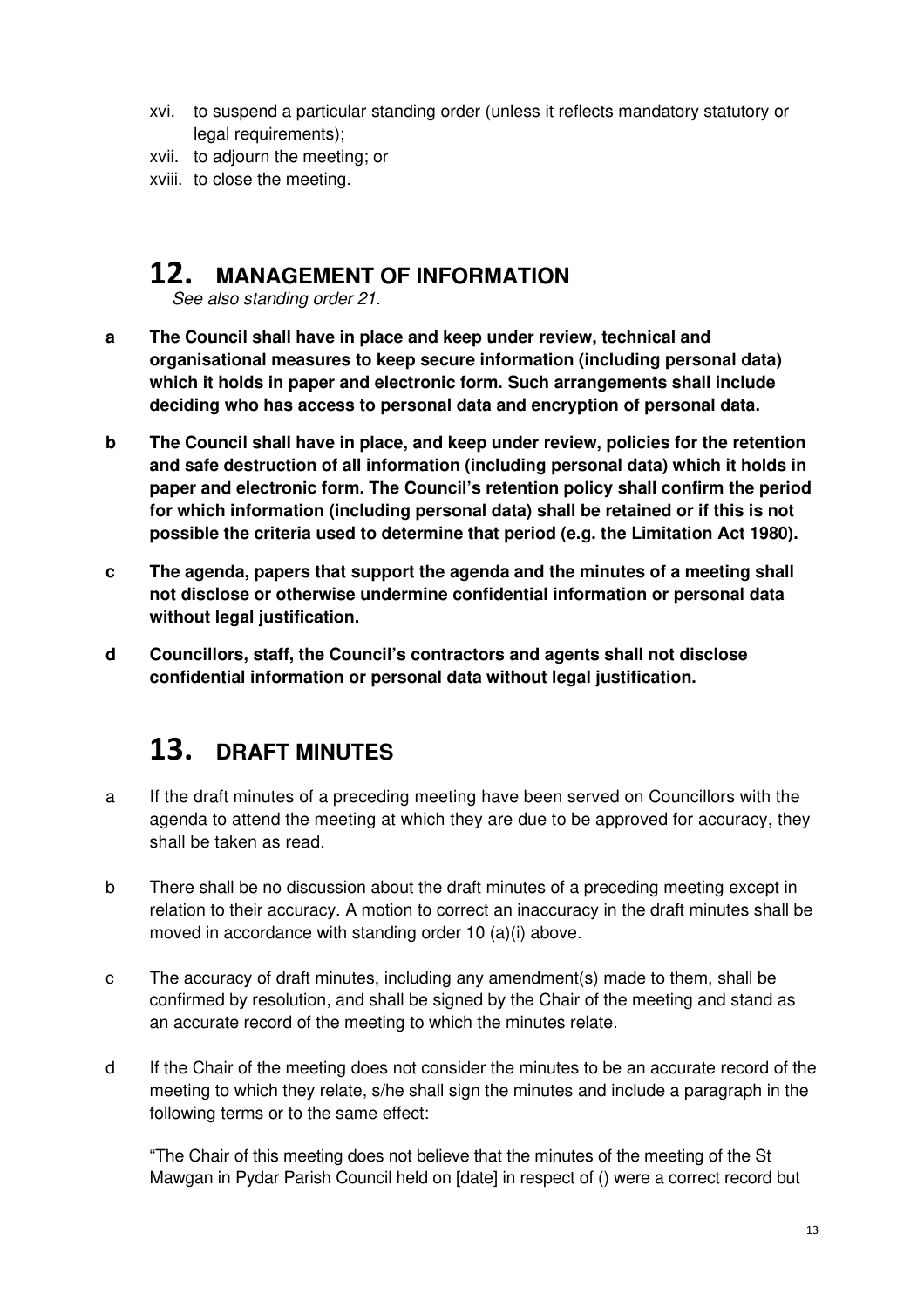- xvi. to suspend a particular standing order (unless it reflects mandatory statutory or legal requirements);
- xvii. to adjourn the meeting; or
- xviii. to close the meeting.

### **12. MANAGEMENT OF INFORMATION**

See also standing order 21.

- **a The Council shall have in place and keep under review, technical and organisational measures to keep secure information (including personal data) which it holds in paper and electronic form. Such arrangements shall include deciding who has access to personal data and encryption of personal data.**
- **b The Council shall have in place, and keep under review, policies for the retention and safe destruction of all information (including personal data) which it holds in paper and electronic form. The Council's retention policy shall confirm the period for which information (including personal data) shall be retained or if this is not possible the criteria used to determine that period (e.g. the Limitation Act 1980).**
- **c The agenda, papers that support the agenda and the minutes of a meeting shall not disclose or otherwise undermine confidential information or personal data without legal justification.**
- **d Councillors, staff, the Council's contractors and agents shall not disclose confidential information or personal data without legal justification.**

# **13. DRAFT MINUTES**

- a If the draft minutes of a preceding meeting have been served on Councillors with the agenda to attend the meeting at which they are due to be approved for accuracy, they shall be taken as read.
- b There shall be no discussion about the draft minutes of a preceding meeting except in relation to their accuracy. A motion to correct an inaccuracy in the draft minutes shall be moved in accordance with standing order 10 (a)(i) above.
- c The accuracy of draft minutes, including any amendment(s) made to them, shall be confirmed by resolution, and shall be signed by the Chair of the meeting and stand as an accurate record of the meeting to which the minutes relate.
- d If the Chair of the meeting does not consider the minutes to be an accurate record of the meeting to which they relate, s/he shall sign the minutes and include a paragraph in the following terms or to the same effect:

"The Chair of this meeting does not believe that the minutes of the meeting of the St Mawgan in Pydar Parish Council held on [date] in respect of () were a correct record but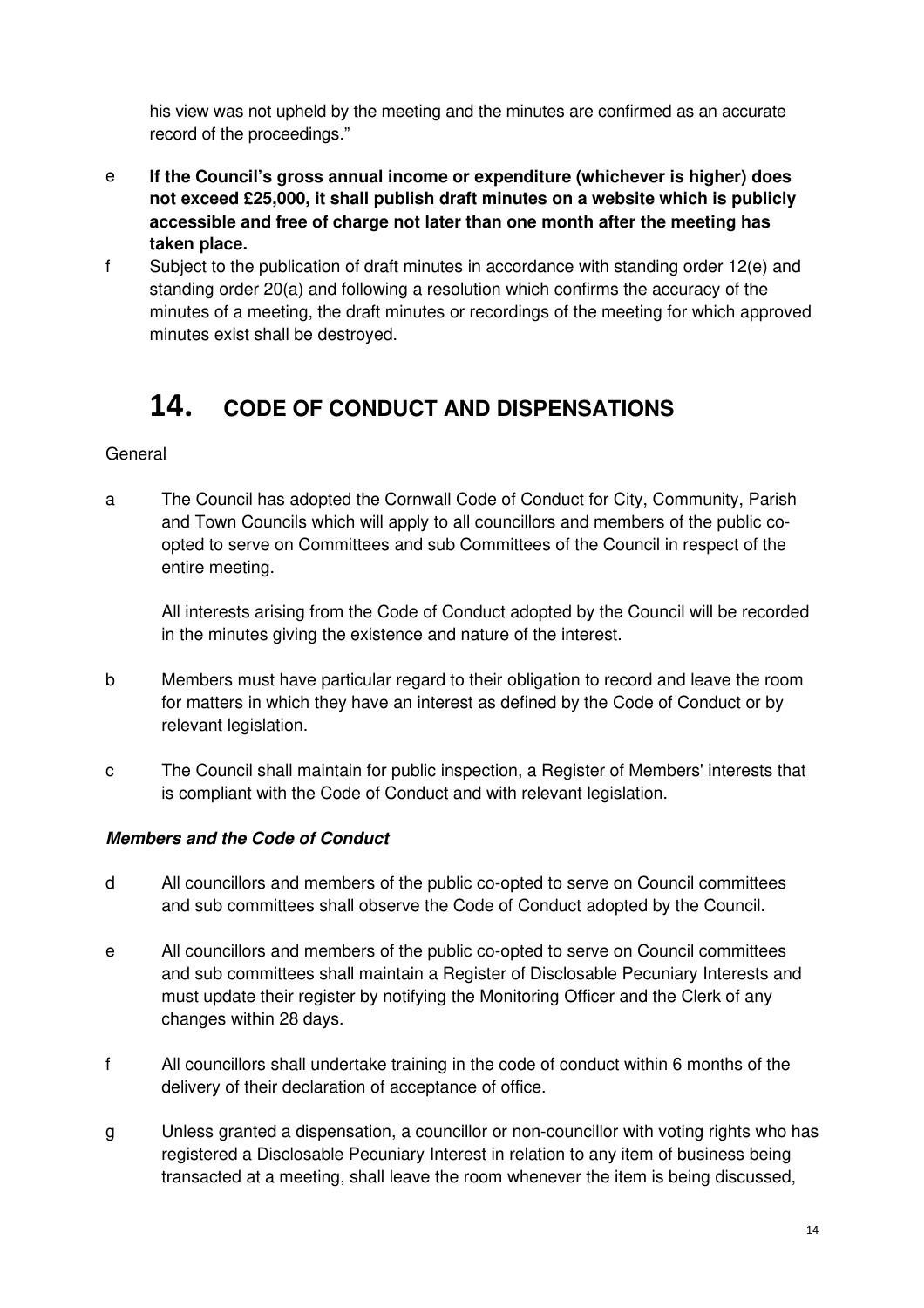his view was not upheld by the meeting and the minutes are confirmed as an accurate record of the proceedings."

- e **If the Council's gross annual income or expenditure (whichever is higher) does not exceed £25,000, it shall publish draft minutes on a website which is publicly accessible and free of charge not later than one month after the meeting has taken place.**
- f Subject to the publication of draft minutes in accordance with standing order 12(e) and standing order 20(a) and following a resolution which confirms the accuracy of the minutes of a meeting, the draft minutes or recordings of the meeting for which approved minutes exist shall be destroyed.

# **14. CODE OF CONDUCT AND DISPENSATIONS**

#### General

a The Council has adopted the Cornwall Code of Conduct for City, Community, Parish and Town Councils which will apply to all councillors and members of the public co opted to serve on Committees and sub Committees of the Council in respect of the entire meeting.

 All interests arising from the Code of Conduct adopted by the Council will be recorded in the minutes giving the existence and nature of the interest.

- b Members must have particular regard to their obligation to record and leave the room for matters in which they have an interest as defined by the Code of Conduct or by relevant legislation.
- c The Council shall maintain for public inspection, a Register of Members' interests that is compliant with the Code of Conduct and with relevant legislation.

#### **Members and the Code of Conduct**

- d All councillors and members of the public co-opted to serve on Council committees and sub committees shall observe the Code of Conduct adopted by the Council.
- e All councillors and members of the public co-opted to serve on Council committees and sub committees shall maintain a Register of Disclosable Pecuniary Interests and must update their register by notifying the Monitoring Officer and the Clerk of any changes within 28 days.
- f All councillors shall undertake training in the code of conduct within 6 months of the delivery of their declaration of acceptance of office.
- g Unless granted a dispensation, a councillor or non-councillor with voting rights who has registered a Disclosable Pecuniary Interest in relation to any item of business being transacted at a meeting, shall leave the room whenever the item is being discussed,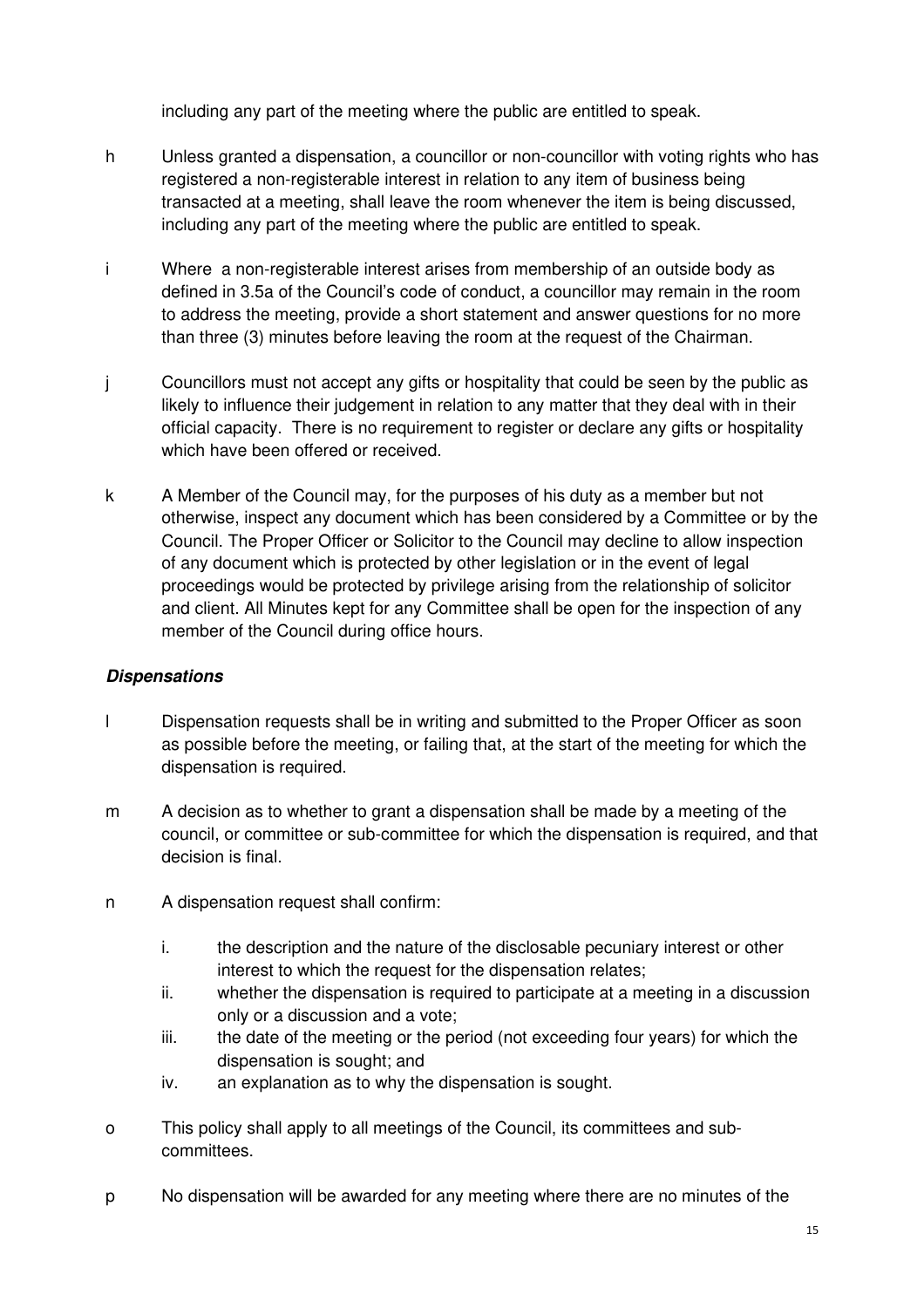including any part of the meeting where the public are entitled to speak.

- h Unless granted a dispensation, a councillor or non-councillor with voting rights who has registered a non-registerable interest in relation to any item of business being transacted at a meeting, shall leave the room whenever the item is being discussed, including any part of the meeting where the public are entitled to speak.
- i Where a non-registerable interest arises from membership of an outside body as defined in 3.5a of the Council's code of conduct, a councillor may remain in the room to address the meeting, provide a short statement and answer questions for no more than three (3) minutes before leaving the room at the request of the Chairman.
- j Councillors must not accept any gifts or hospitality that could be seen by the public as likely to influence their judgement in relation to any matter that they deal with in their official capacity. There is no requirement to register or declare any gifts or hospitality which have been offered or received.
- k A Member of the Council may, for the purposes of his duty as a member but not otherwise, inspect any document which has been considered by a Committee or by the Council. The Proper Officer or Solicitor to the Council may decline to allow inspection of any document which is protected by other legislation or in the event of legal proceedings would be protected by privilege arising from the relationship of solicitor and client. All Minutes kept for any Committee shall be open for the inspection of any member of the Council during office hours.

#### **Dispensations**

- l Dispensation requests shall be in writing and submitted to the Proper Officer as soon as possible before the meeting, or failing that, at the start of the meeting for which the dispensation is required.
- m A decision as to whether to grant a dispensation shall be made by a meeting of the council, or committee or sub-committee for which the dispensation is required, and that decision is final.
- n A dispensation request shall confirm:
	- i. the description and the nature of the disclosable pecuniary interest or other interest to which the request for the dispensation relates;
	- ii. whether the dispensation is required to participate at a meeting in a discussion only or a discussion and a vote;
	- iii. the date of the meeting or the period (not exceeding four years) for which the dispensation is sought; and
	- iv. an explanation as to why the dispensation is sought.
- o This policy shall apply to all meetings of the Council, its committees and sub committees.
- p No dispensation will be awarded for any meeting where there are no minutes of the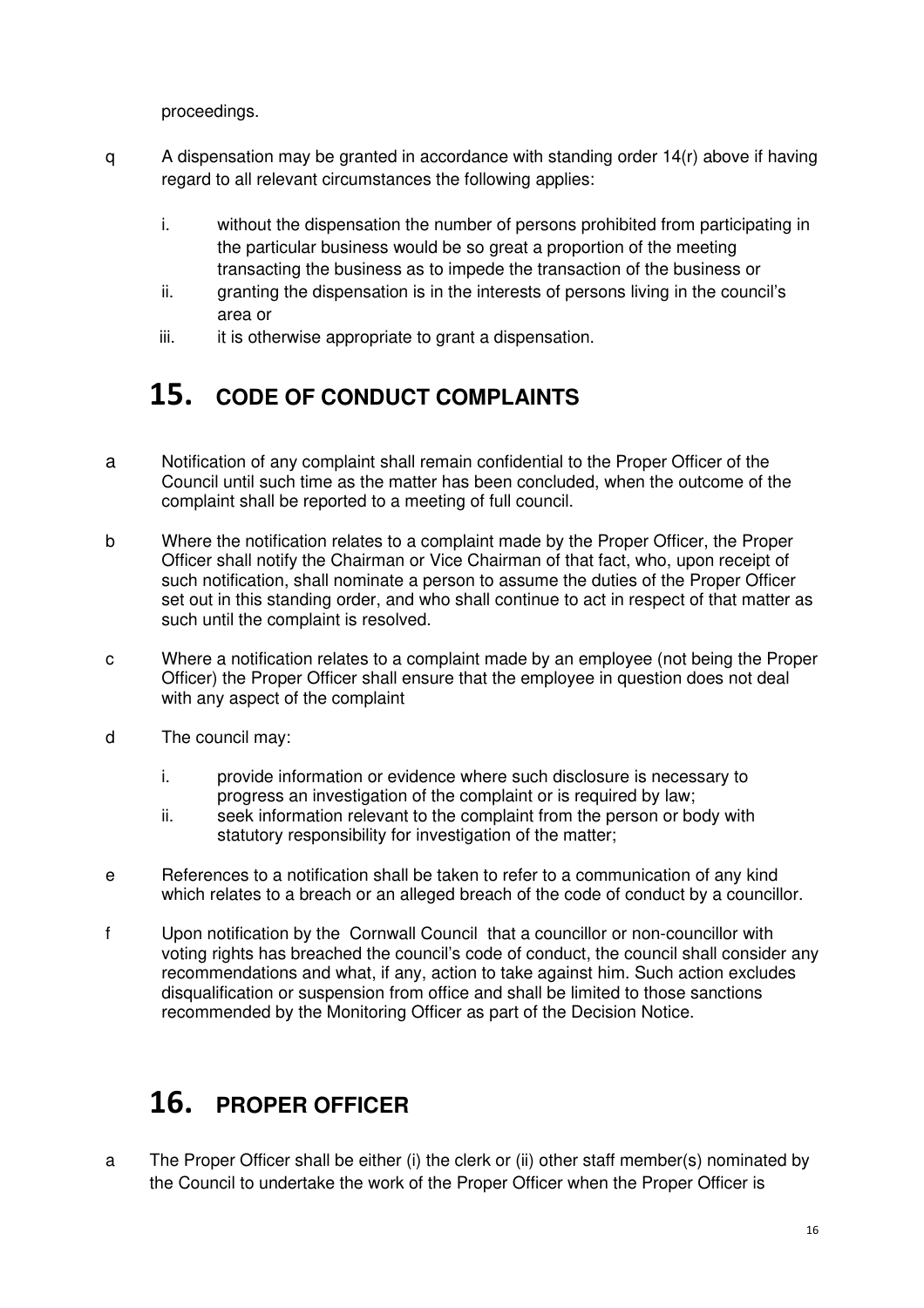proceedings.

- q A dispensation may be granted in accordance with standing order 14(r) above if having regard to all relevant circumstances the following applies:
	- i. without the dispensation the number of persons prohibited from participating in the particular business would be so great a proportion of the meeting transacting the business as to impede the transaction of the business or
	- ii. granting the dispensation is in the interests of persons living in the council's area or
	- iii. it is otherwise appropriate to grant a dispensation.

# **15. CODE OF CONDUCT COMPLAINTS**

- a Notification of any complaint shall remain confidential to the Proper Officer of the Council until such time as the matter has been concluded, when the outcome of the complaint shall be reported to a meeting of full council.
- b Where the notification relates to a complaint made by the Proper Officer, the Proper Officer shall notify the Chairman or Vice Chairman of that fact, who, upon receipt of such notification, shall nominate a person to assume the duties of the Proper Officer set out in this standing order, and who shall continue to act in respect of that matter as such until the complaint is resolved.
- c Where a notification relates to a complaint made by an employee (not being the Proper Officer) the Proper Officer shall ensure that the employee in question does not deal with any aspect of the complaint
- d The council may:
	- i. provide information or evidence where such disclosure is necessary to progress an investigation of the complaint or is required by law;
	- ii. seek information relevant to the complaint from the person or body with statutory responsibility for investigation of the matter;
- e References to a notification shall be taken to refer to a communication of any kind which relates to a breach or an alleged breach of the code of conduct by a councillor.
- f Upon notification by the Cornwall Council that a councillor or non-councillor with voting rights has breached the council's code of conduct, the council shall consider any recommendations and what, if any, action to take against him. Such action excludes disqualification or suspension from office and shall be limited to those sanctions recommended by the Monitoring Officer as part of the Decision Notice.

# **16. PROPER OFFICER**

a The Proper Officer shall be either (i) the clerk or (ii) other staff member(s) nominated by the Council to undertake the work of the Proper Officer when the Proper Officer is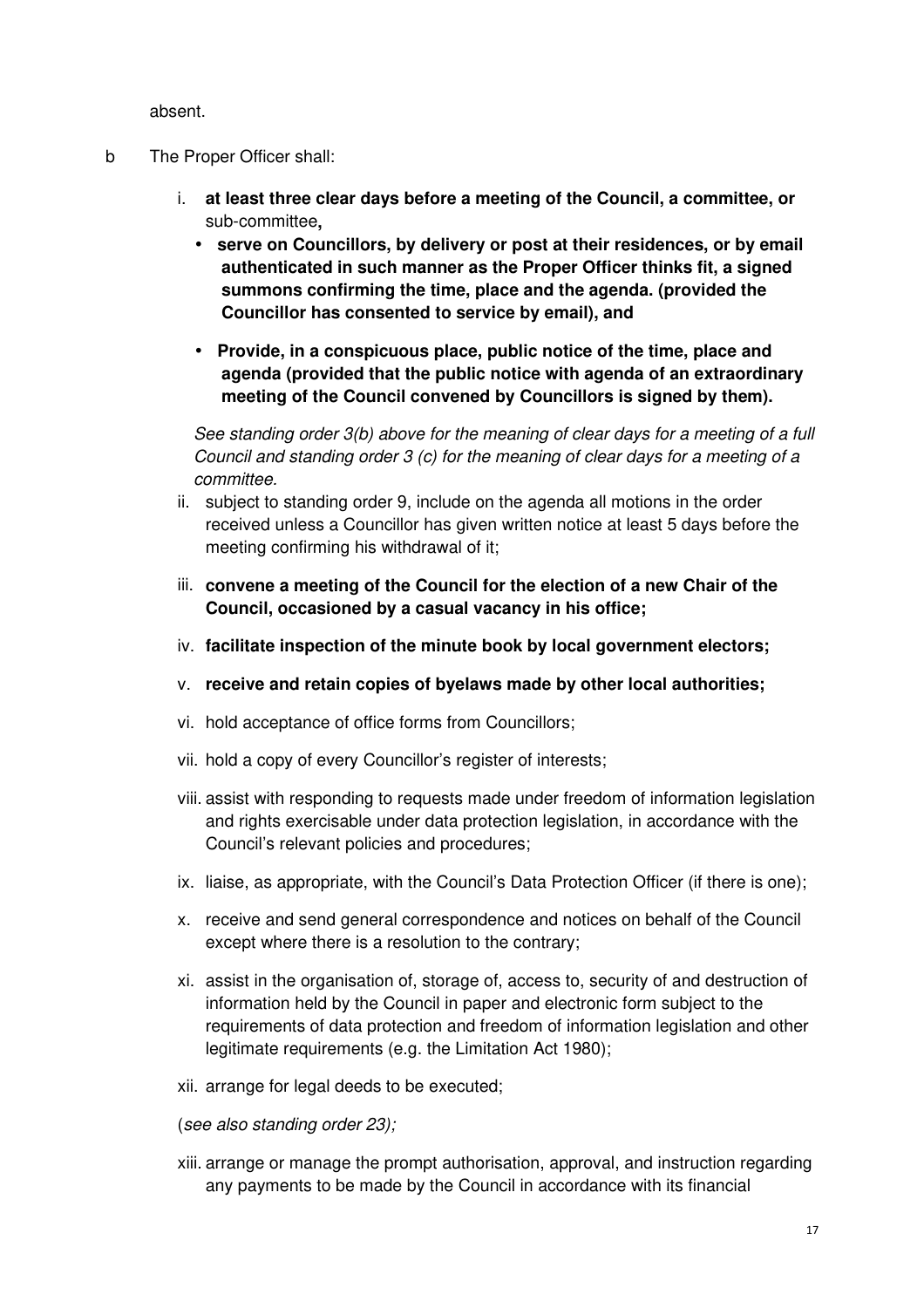absent.

- b The Proper Officer shall:
	- i. **at least three clear days before a meeting of the Council, a committee, or**  sub-committee**,** 
		- **serve on Councillors, by delivery or post at their residences, or by email authenticated in such manner as the Proper Officer thinks fit, a signed summons confirming the time, place and the agenda. (provided the Councillor has consented to service by email), and**
		- **Provide, in a conspicuous place, public notice of the time, place and agenda (provided that the public notice with agenda of an extraordinary meeting of the Council convened by Councillors is signed by them).**

See standing order 3(b) above for the meaning of clear days for a meeting of a full Council and standing order 3 (c) for the meaning of clear days for a meeting of a committee.

- ii. subject to standing order 9, include on the agenda all motions in the order received unless a Councillor has given written notice at least 5 days before the meeting confirming his withdrawal of it;
- iii. **convene a meeting of the Council for the election of a new Chair of the Council, occasioned by a casual vacancy in his office;**
- iv. **facilitate inspection of the minute book by local government electors;**
- v. **receive and retain copies of byelaws made by other local authorities;**
- vi. hold acceptance of office forms from Councillors;
- vii. hold a copy of every Councillor's register of interests;
- viii. assist with responding to requests made under freedom of information legislation and rights exercisable under data protection legislation, in accordance with the Council's relevant policies and procedures;
- ix. liaise, as appropriate, with the Council's Data Protection Officer (if there is one);
- x. receive and send general correspondence and notices on behalf of the Council except where there is a resolution to the contrary;
- xi. assist in the organisation of, storage of, access to, security of and destruction of information held by the Council in paper and electronic form subject to the requirements of data protection and freedom of information legislation and other legitimate requirements (e.g. the Limitation Act 1980);
- xii. arrange for legal deeds to be executed;

(see also standing order 23);

xiii. arrange or manage the prompt authorisation, approval, and instruction regarding any payments to be made by the Council in accordance with its financial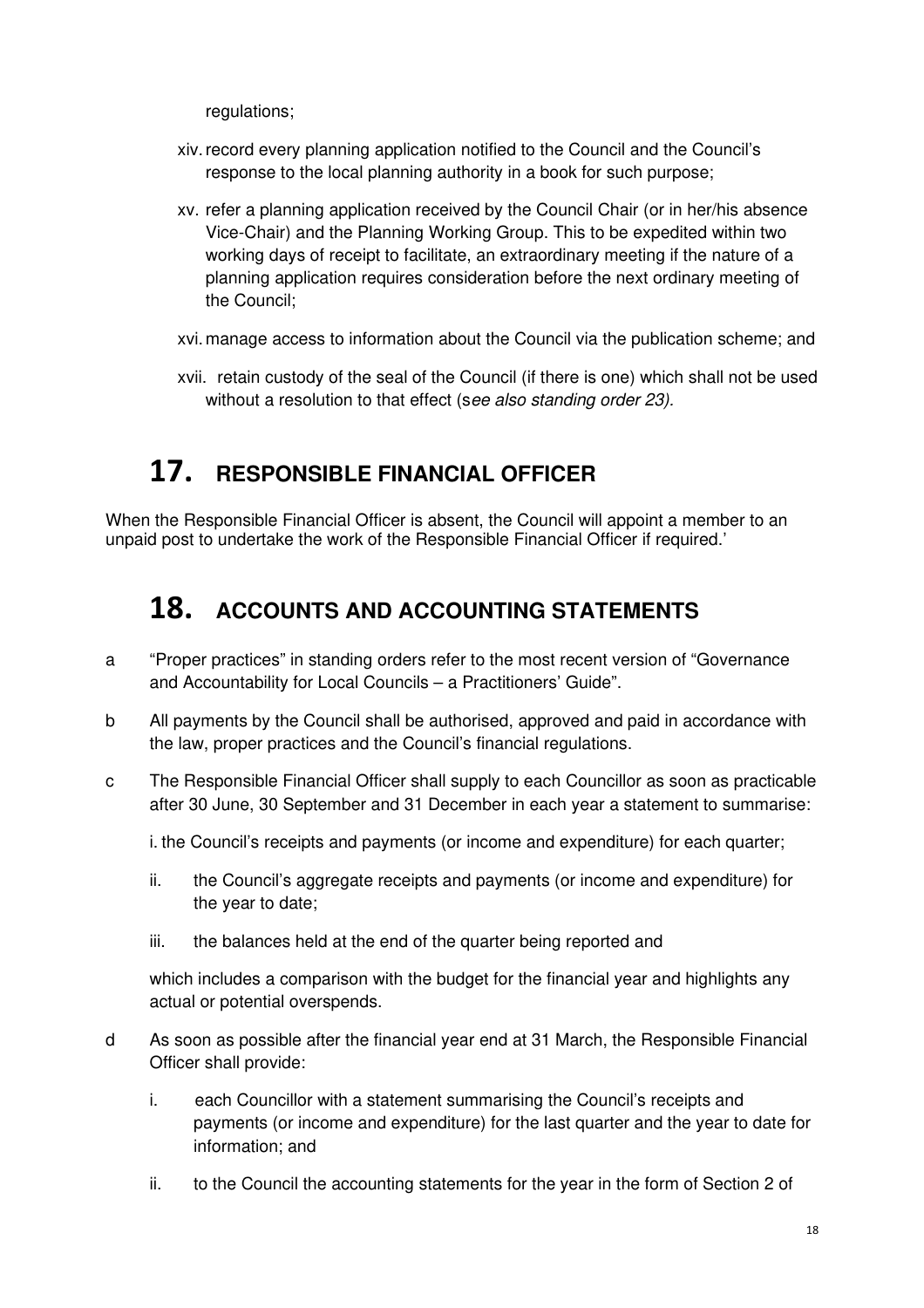regulations;

- xiv. record every planning application notified to the Council and the Council's response to the local planning authority in a book for such purpose;
- xv. refer a planning application received by the Council Chair (or in her/his absence Vice-Chair) and the Planning Working Group. This to be expedited within two working days of receipt to facilitate, an extraordinary meeting if the nature of a planning application requires consideration before the next ordinary meeting of the Council;

xvi. manage access to information about the Council via the publication scheme; and

xvii. retain custody of the seal of the Council (if there is one) which shall not be used without a resolution to that effect (see also standing order 23).

### **17. RESPONSIBLE FINANCIAL OFFICER**

When the Responsible Financial Officer is absent, the Council will appoint a member to an unpaid post to undertake the work of the Responsible Financial Officer if required.'

### **18. ACCOUNTS AND ACCOUNTING STATEMENTS**

- a "Proper practices" in standing orders refer to the most recent version of "Governance and Accountability for Local Councils – a Practitioners' Guide".
- b All payments by the Council shall be authorised, approved and paid in accordance with the law, proper practices and the Council's financial regulations.
- c The Responsible Financial Officer shall supply to each Councillor as soon as practicable after 30 June, 30 September and 31 December in each year a statement to summarise:

i. the Council's receipts and payments (or income and expenditure) for each quarter;

- ii. the Council's aggregate receipts and payments (or income and expenditure) for the year to date;
- iii. the balances held at the end of the quarter being reported and

which includes a comparison with the budget for the financial year and highlights any actual or potential overspends.

- d As soon as possible after the financial year end at 31 March, the Responsible Financial Officer shall provide:
	- i. each Councillor with a statement summarising the Council's receipts and payments (or income and expenditure) for the last quarter and the year to date for information; and
	- ii. to the Council the accounting statements for the year in the form of Section 2 of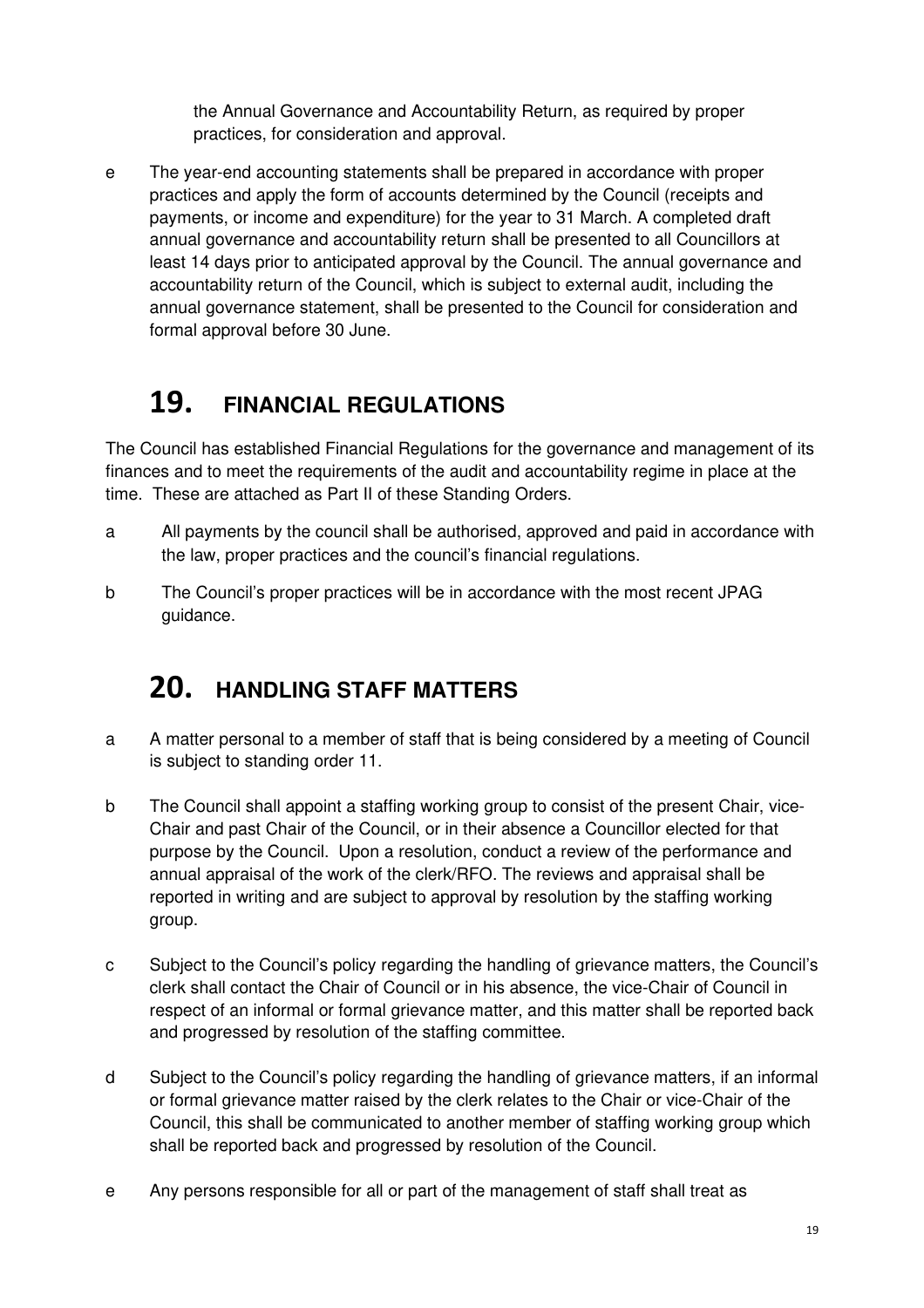the Annual Governance and Accountability Return, as required by proper practices, for consideration and approval.

e The year-end accounting statements shall be prepared in accordance with proper practices and apply the form of accounts determined by the Council (receipts and payments, or income and expenditure) for the year to 31 March. A completed draft annual governance and accountability return shall be presented to all Councillors at least 14 days prior to anticipated approval by the Council. The annual governance and accountability return of the Council, which is subject to external audit, including the annual governance statement, shall be presented to the Council for consideration and formal approval before 30 June.

# **19. FINANCIAL REGULATIONS**

The Council has established Financial Regulations for the governance and management of its finances and to meet the requirements of the audit and accountability regime in place at the time. These are attached as Part II of these Standing Orders.

- a All payments by the council shall be authorised, approved and paid in accordance with the law, proper practices and the council's financial regulations.
- b The Council's proper practices will be in accordance with the most recent JPAG guidance.

# **20. HANDLING STAFF MATTERS**

- a A matter personal to a member of staff that is being considered by a meeting of Council is subject to standing order 11.
- b The Council shall appoint a staffing working group to consist of the present Chair, vice-Chair and past Chair of the Council, or in their absence a Councillor elected for that purpose by the Council. Upon a resolution, conduct a review of the performance and annual appraisal of the work of the clerk/RFO. The reviews and appraisal shall be reported in writing and are subject to approval by resolution by the staffing working group.
- c Subject to the Council's policy regarding the handling of grievance matters, the Council's clerk shall contact the Chair of Council or in his absence, the vice-Chair of Council in respect of an informal or formal grievance matter, and this matter shall be reported back and progressed by resolution of the staffing committee.
- d Subject to the Council's policy regarding the handling of grievance matters, if an informal or formal grievance matter raised by the clerk relates to the Chair or vice-Chair of the Council, this shall be communicated to another member of staffing working group which shall be reported back and progressed by resolution of the Council.
- e Any persons responsible for all or part of the management of staff shall treat as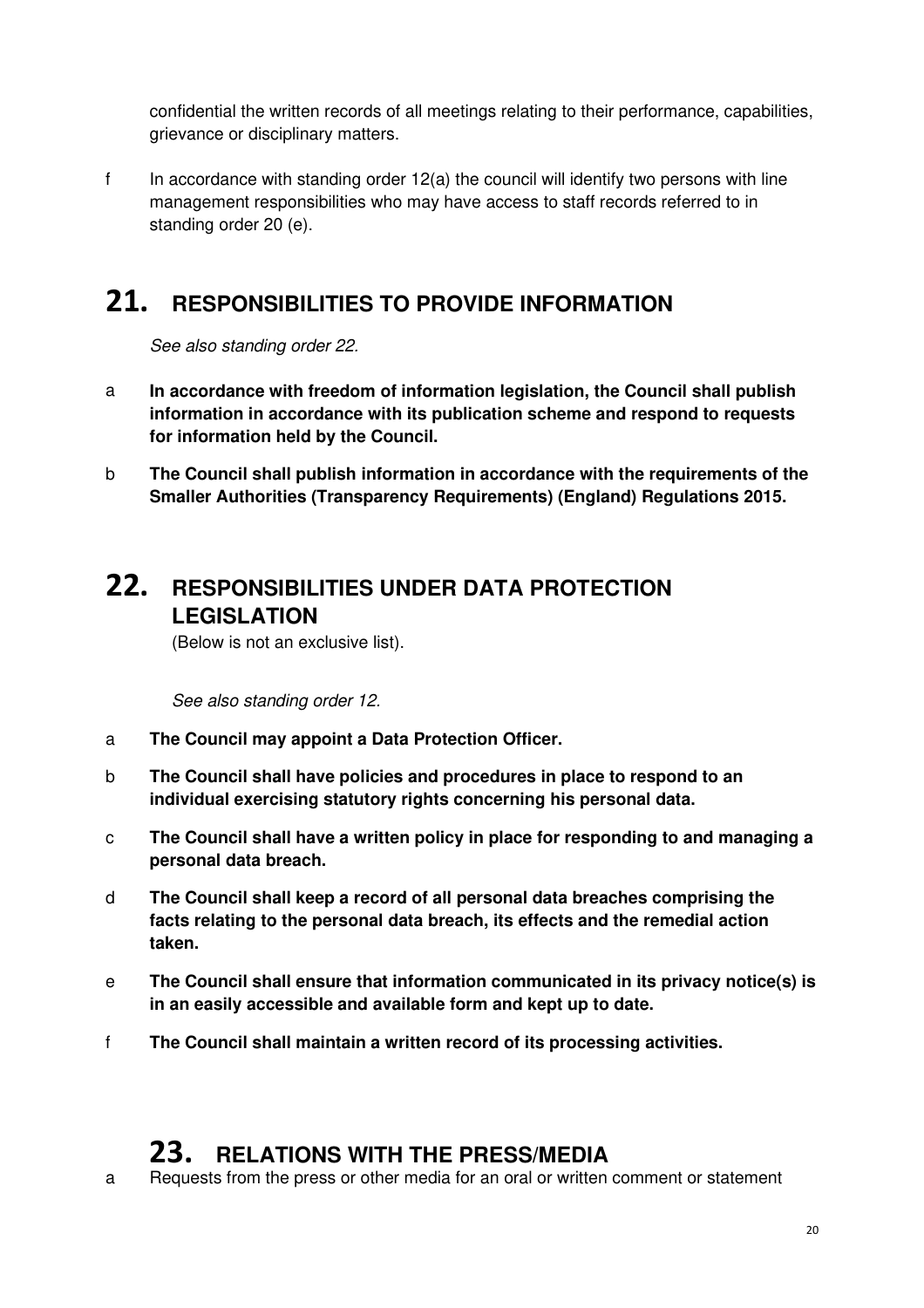confidential the written records of all meetings relating to their performance, capabilities, grievance or disciplinary matters.

f In accordance with standing order 12(a) the council will identify two persons with line management responsibilities who may have access to staff records referred to in standing order 20 (e).

### **21. RESPONSIBILITIES TO PROVIDE INFORMATION**

See also standing order 22.

- a **In accordance with freedom of information legislation, the Council shall publish information in accordance with its publication scheme and respond to requests for information held by the Council.**
- b **The Council shall publish information in accordance with the requirements of the Smaller Authorities (Transparency Requirements) (England) Regulations 2015.**

### **22. RESPONSIBILITIES UNDER DATA PROTECTION LEGISLATION**

(Below is not an exclusive list).

See also standing order 12.

- a **The Council may appoint a Data Protection Officer.**
- b **The Council shall have policies and procedures in place to respond to an individual exercising statutory rights concerning his personal data.**
- c **The Council shall have a written policy in place for responding to and managing a personal data breach.**
- d **The Council shall keep a record of all personal data breaches comprising the facts relating to the personal data breach, its effects and the remedial action taken.**
- e **The Council shall ensure that information communicated in its privacy notice(s) is in an easily accessible and available form and kept up to date.**
- f **The Council shall maintain a written record of its processing activities.**

### **23. RELATIONS WITH THE PRESS/MEDIA**

a Requests from the press or other media for an oral or written comment or statement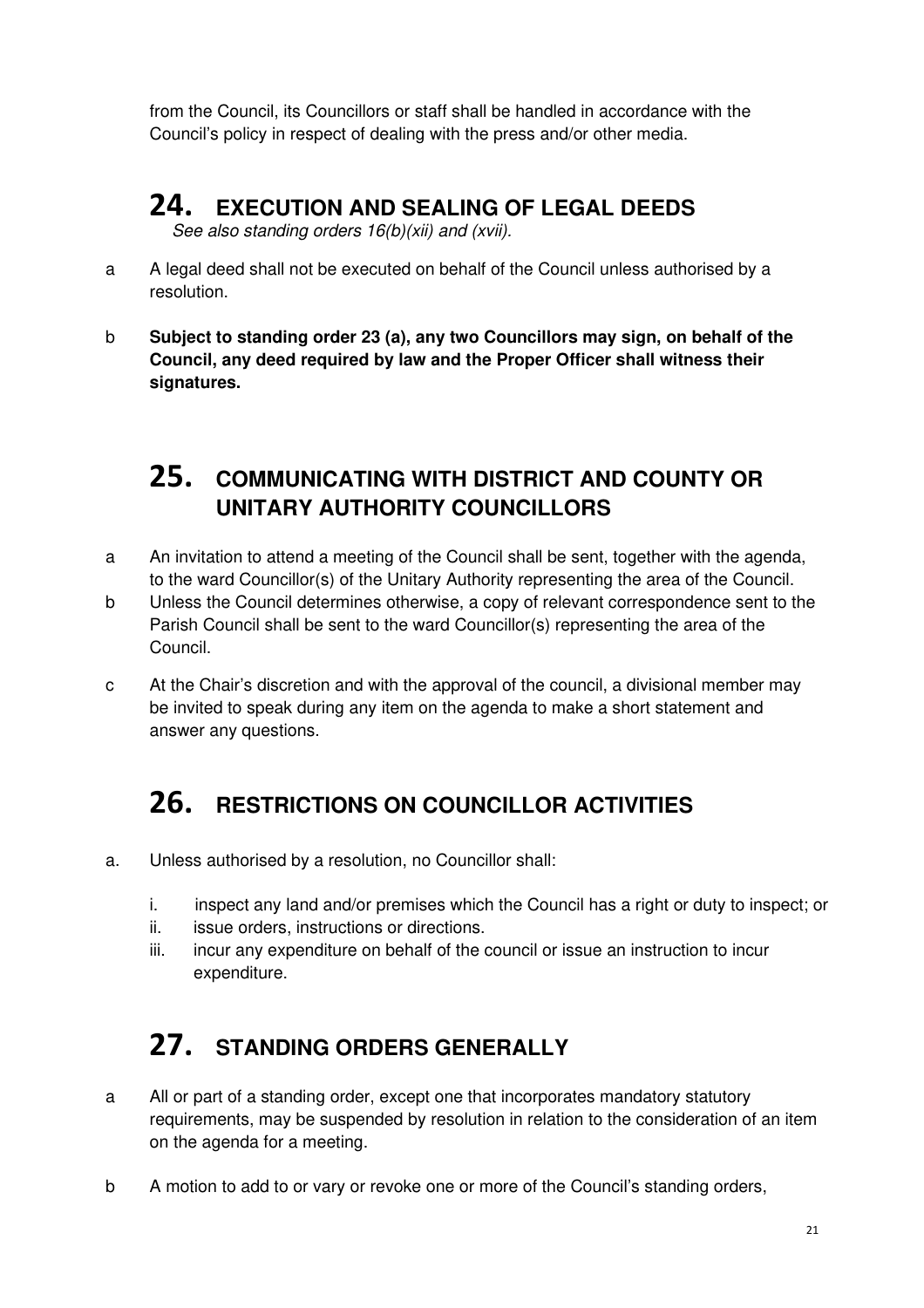from the Council, its Councillors or staff shall be handled in accordance with the Council's policy in respect of dealing with the press and/or other media.

# **24. EXECUTION AND SEALING OF LEGAL DEEDS**

See also standing orders  $16(b)(xii)$  and (xvii).

- a A legal deed shall not be executed on behalf of the Council unless authorised by a resolution.
- b **Subject to standing order 23 (a), any two Councillors may sign, on behalf of the Council, any deed required by law and the Proper Officer shall witness their signatures.**

### **25. COMMUNICATING WITH DISTRICT AND COUNTY OR UNITARY AUTHORITY COUNCILLORS**

- a An invitation to attend a meeting of the Council shall be sent, together with the agenda, to the ward Councillor(s) of the Unitary Authority representing the area of the Council.
- b Unless the Council determines otherwise, a copy of relevant correspondence sent to the Parish Council shall be sent to the ward Councillor(s) representing the area of the Council.
- c At the Chair's discretion and with the approval of the council, a divisional member may be invited to speak during any item on the agenda to make a short statement and answer any questions.

# **26. RESTRICTIONS ON COUNCILLOR ACTIVITIES**

- a. Unless authorised by a resolution, no Councillor shall:
	- i. inspect any land and/or premises which the Council has a right or duty to inspect; or
	- ii. issue orders, instructions or directions.
	- iii. incur any expenditure on behalf of the council or issue an instruction to incur expenditure.

# **27. STANDING ORDERS GENERALLY**

- a All or part of a standing order, except one that incorporates mandatory statutory requirements, may be suspended by resolution in relation to the consideration of an item on the agenda for a meeting.
- b A motion to add to or vary or revoke one or more of the Council's standing orders,